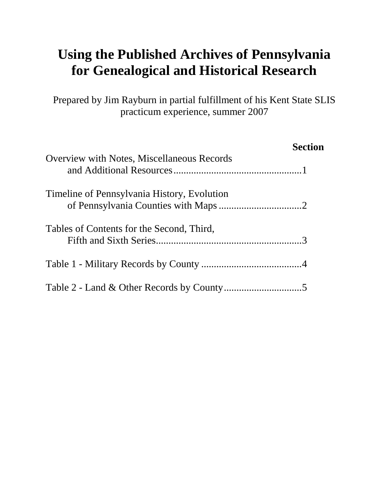# **Using the Published Archives of Pennsylvania for Genealogical and Historical Research**

Prepared by Jim Rayburn in partial fulfillment of his Kent State SLIS practicum experience, summer 2007

|                                                   | <b>Section</b> |
|---------------------------------------------------|----------------|
| <b>Overview with Notes, Miscellaneous Records</b> |                |
| Timeline of Pennsylvania History, Evolution       |                |
| Tables of Contents for the Second, Third,         |                |
|                                                   |                |
|                                                   |                |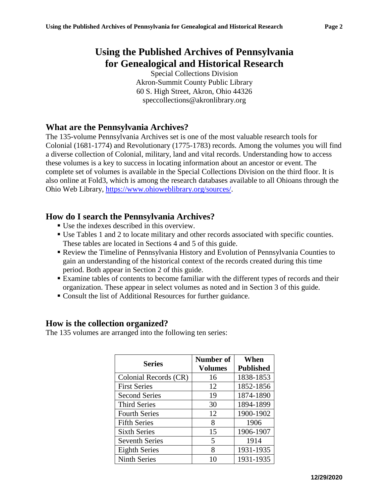## **Using the Published Archives of Pennsylvania for Genealogical and Historical Research**

Special Collections Division Akron-Summit County Public Library 60 S. High Street, Akron, Ohio 44326 speccollections@akronlibrary.org

### **What are the Pennsylvania Archives?**

The 135-volume Pennsylvania Archives set is one of the most valuable research tools for Colonial (1681-1774) and Revolutionary (1775-1783) records. Among the volumes you will find a diverse collection of Colonial, military, land and vital records. Understanding how to access these volumes is a key to success in locating information about an ancestor or event. The complete set of volumes is available in the Special Collections Division on the third floor. It is also online at Fold3, which is among the research databases available to all Ohioans through the Ohio Web Library, [https://www.ohioweblibrary.org/sources/.](https://www.ohioweblibrary.org/sources/)

#### **How do I search the Pennsylvania Archives?**

- Use the indexes described in this overview.
- Use Tables 1 and 2 to locate military and other records associated with specific counties. These tables are located in Sections 4 and 5 of this guide.
- Review the Timeline of Pennsylvania History and Evolution of Pennsylvania Counties to gain an understanding of the historical context of the records created during this time period. Both appear in Section 2 of this guide.
- Examine tables of contents to become familiar with the different types of records and their organization. These appear in select volumes as noted and in Section 3 of this guide.
- Consult the list of Additional Resources for further guidance.

#### **How is the collection organized?**

The 135 volumes are arranged into the following ten series:

| <b>Series</b>         | Number of      | When             |
|-----------------------|----------------|------------------|
|                       | <b>Volumes</b> | <b>Published</b> |
| Colonial Records (CR) | 16             | 1838-1853        |
| <b>First Series</b>   | 12             | 1852-1856        |
| <b>Second Series</b>  | 19             | 1874-1890        |
| <b>Third Series</b>   | 30             | 1894-1899        |
| <b>Fourth Series</b>  | 12             | 1900-1902        |
| <b>Fifth Series</b>   | 8              | 1906             |
| <b>Sixth Series</b>   | 15             | 1906-1907        |
| <b>Seventh Series</b> | 5              | 1914             |
| <b>Eighth Series</b>  | 8              | 1931-1935        |
| <b>Ninth Series</b>   | 10             | 1931-1935        |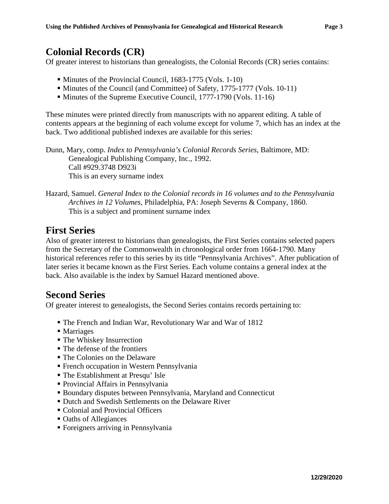### **Colonial Records (CR)**

Of greater interest to historians than genealogists, the Colonial Records (CR) series contains:

- Minutes of the Provincial Council, 1683-1775 (Vols. 1-10)
- Minutes of the Council (and Committee) of Safety, 1775-1777 (Vols. 10-11)
- Minutes of the Supreme Executive Council, 1777-1790 (Vols. 11-16)

These minutes were printed directly from manuscripts with no apparent editing. A table of contents appears at the beginning of each volume except for volume 7, which has an index at the back. Two additional published indexes are available for this series:

Dunn, Mary, comp. *Index to Pennsylvania's Colonial Records Series*, Baltimore, MD: Genealogical Publishing Company, Inc., 1992. Call #929.3748 D923i This is an every surname index

#### Hazard, Samuel. *General Index to the Colonial records in 16 volumes and to the Pennsylvania Archives in 12 Volumes*, Philadelphia, PA: Joseph Severns & Company, 1860. This is a subject and prominent surname index

### **First Series**

Also of greater interest to historians than genealogists, the First Series contains selected papers from the Secretary of the Commonwealth in chronological order from 1664-1790. Many historical references refer to this series by its title "Pennsylvania Archives". After publication of later series it became known as the First Series. Each volume contains a general index at the back. Also available is the index by Samuel Hazard mentioned above.

### **Second Series**

Of greater interest to genealogists, the Second Series contains records pertaining to:

- The French and Indian War, Revolutionary War and War of 1812
- Marriages
- The Whiskey Insurrection
- The defense of the frontiers
- The Colonies on the Delaware
- French occupation in Western Pennsylvania
- The Establishment at Presqu' Isle
- Provincial Affairs in Pennsylvania
- Boundary disputes between Pennsylvania, Maryland and Connecticut
- **Dutch and Swedish Settlements on the Delaware River**
- Colonial and Provincial Officers
- Oaths of Allegiances
- Foreigners arriving in Pennsylvania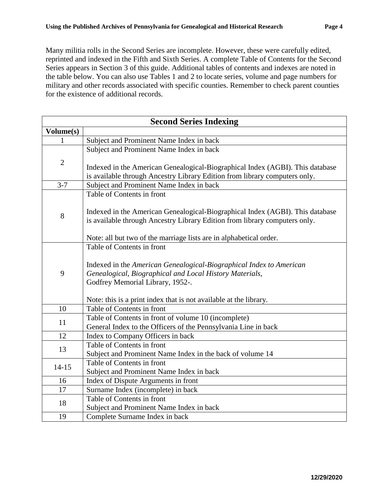Many militia rolls in the Second Series are incomplete. However, these were carefully edited, reprinted and indexed in the Fifth and Sixth Series. A complete Table of Contents for the Second Series appears in Section 3 of this guide. Additional tables of contents and indexes are noted in the table below. You can also use Tables 1 and 2 to locate series, volume and page numbers for military and other records associated with specific counties. Remember to check parent counties for the existence of additional records.

| <b>Second Series Indexing</b> |                                                                                                                                                                                                                                                                       |  |  |
|-------------------------------|-----------------------------------------------------------------------------------------------------------------------------------------------------------------------------------------------------------------------------------------------------------------------|--|--|
| Volume(s)                     |                                                                                                                                                                                                                                                                       |  |  |
| 1                             | Subject and Prominent Name Index in back                                                                                                                                                                                                                              |  |  |
|                               | Subject and Prominent Name Index in back                                                                                                                                                                                                                              |  |  |
| $\mathbf{2}$                  | Indexed in the American Genealogical-Biographical Index (AGBI). This database<br>is available through Ancestry Library Edition from library computers only.                                                                                                           |  |  |
| $3 - 7$                       | Subject and Prominent Name Index in back                                                                                                                                                                                                                              |  |  |
| 8                             | Table of Contents in front<br>Indexed in the American Genealogical-Biographical Index (AGBI). This database<br>is available through Ancestry Library Edition from library computers only.<br>Note: all but two of the marriage lists are in alphabetical order.       |  |  |
| 9                             | Table of Contents in front<br>Indexed in the American Genealogical-Biographical Index to American<br>Genealogical, Biographical and Local History Materials,<br>Godfrey Memorial Library, 1952-.<br>Note: this is a print index that is not available at the library. |  |  |
| 10                            | Table of Contents in front                                                                                                                                                                                                                                            |  |  |
| 11                            | Table of Contents in front of volume 10 (incomplete)<br>General Index to the Officers of the Pennsylvania Line in back                                                                                                                                                |  |  |
| 12                            | Index to Company Officers in back                                                                                                                                                                                                                                     |  |  |
| 13                            | Table of Contents in front<br>Subject and Prominent Name Index in the back of volume 14                                                                                                                                                                               |  |  |
| $14 - 15$                     | Table of Contents in front<br>Subject and Prominent Name Index in back                                                                                                                                                                                                |  |  |
| 16                            | Index of Dispute Arguments in front                                                                                                                                                                                                                                   |  |  |
| 17                            | Surname Index (incomplete) in back                                                                                                                                                                                                                                    |  |  |
| 18                            | Table of Contents in front<br>Subject and Prominent Name Index in back                                                                                                                                                                                                |  |  |
| 19                            | Complete Surname Index in back                                                                                                                                                                                                                                        |  |  |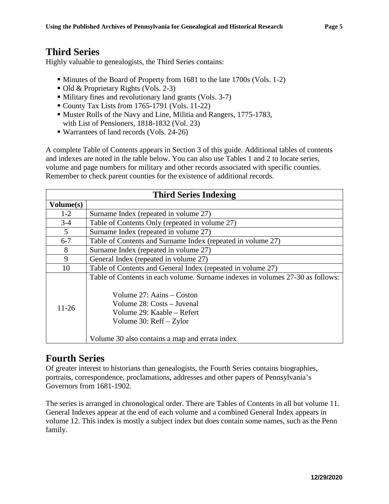### **Third Series**

Highly valuable to genealogists, the Third Series contains:

- Minutes of the Board of Property from 1681 to the late 1700s (Vols. 1-2)
- Old & Proprietary Rights (Vols. 2-3)
- Military fines and revolutionary land grants (Vols. 3-7)
- County Tax Lists from 1765-1791 (Vols. 11-22)
- Muster Rolls of the Navy and Line, Militia and Rangers, 1775-1783, with List of Pensioners, 1818-1832 (Vol. 23)
- Warrantees of land records (Vols. 24-26)

A complete Table of Contents appears in Section 3 of this guide. Additional tables of contents and indexes are noted in the table below. You can also use Tables 1 and 2 to locate series, volume and page numbers for military and other records associated with specific counties. Remember to check parent counties for the existence of additional records.

| <b>Third Series Indexing</b> |                                                                                |  |  |
|------------------------------|--------------------------------------------------------------------------------|--|--|
| Volume(s)                    |                                                                                |  |  |
| $1-2$                        | Surname Index (repeated in volume 27)                                          |  |  |
| $3 - 4$                      | Table of Contents Only (repeated in volume 27)                                 |  |  |
| 5                            | Surname Index (repeated in volume 27)                                          |  |  |
| $6 - 7$                      | Table of Contents and Surname Index (repeated in volume 27)                    |  |  |
| 8                            | Surname Index (repeated in volume 27)                                          |  |  |
| 9                            | General Index (repeated in volume 27)                                          |  |  |
| 10                           | Table of Contents and General Index (repeated in volume 27)                    |  |  |
|                              | Table of Contents in each volume. Surname indexes in volumes 27-30 as follows: |  |  |
|                              | Volume 27: Aains – Coston                                                      |  |  |
|                              | Volume 28: Costs – Juvenal                                                     |  |  |
| $11 - 26$                    | Volume 29: Kaable – Refert                                                     |  |  |
|                              | Volume 30: $RefI - Zylor$                                                      |  |  |
|                              | Volume 30 also contains a map and errata index                                 |  |  |

### **Fourth Series**

Of greater interest to historians than genealogists, the Fourth Series contains biographies, portraits, correspondence, proclamations, addresses and other papers of Pennsylvania's Governors from 1681-1902.

The series is arranged in chronological order. There are Tables of Contents in all but volume 11. General Indexes appear at the end of each volume and a combined General Index appears in volume 12. This index is mostly a subject index but does contain some names, such as the Penn family.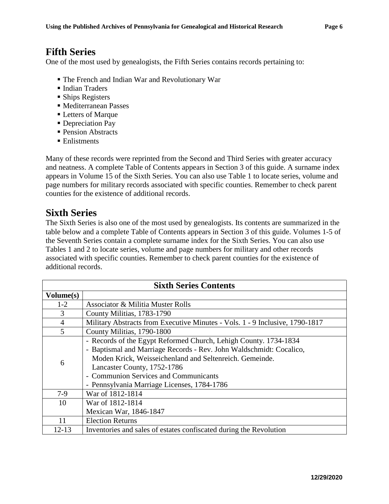### **Fifth Series**

One of the most used by genealogists, the Fifth Series contains records pertaining to:

- The French and Indian War and Revolutionary War
- **Indian Traders**
- **Ships Registers**
- Mediterranean Passes
- Letters of Marque
- Depreciation Pay
- Pension Abstracts
- Enlistments

Many of these records were reprinted from the Second and Third Series with greater accuracy and neatness. A complete Table of Contents appears in Section 3 of this guide. A surname index appears in Volume 15 of the Sixth Series. You can also use Table 1 to locate series, volume and page numbers for military records associated with specific counties. Remember to check parent counties for the existence of additional records.

### **Sixth Series**

The Sixth Series is also one of the most used by genealogists. Its contents are summarized in the table below and a complete Table of Contents appears in Section 3 of this guide. Volumes 1-5 of the Seventh Series contain a complete surname index for the Sixth Series. You can also use Tables 1 and 2 to locate series, volume and page numbers for military and other records associated with specific counties. Remember to check parent counties for the existence of additional records.

| <b>Sixth Series Contents</b> |                                                                              |  |  |
|------------------------------|------------------------------------------------------------------------------|--|--|
| Volume(s)                    |                                                                              |  |  |
| $1-2$                        | <b>Associator &amp; Militia Muster Rolls</b>                                 |  |  |
| 3                            | County Militias, 1783-1790                                                   |  |  |
| 4                            | Military Abstracts from Executive Minutes - Vols. 1 - 9 Inclusive, 1790-1817 |  |  |
| $\overline{5}$               | County Militias, 1790-1800                                                   |  |  |
| 6                            | - Records of the Egypt Reformed Church, Lehigh County. 1734-1834             |  |  |
|                              | - Baptismal and Marriage Records - Rev. John Waldschmidt: Cocalico,          |  |  |
|                              | Moden Krick, Weisseichenland and Seltenreich. Gemeinde.                      |  |  |
|                              | Lancaster County, 1752-1786                                                  |  |  |
|                              | - Communion Services and Communicants                                        |  |  |
|                              | - Pennsylvania Marriage Licenses, 1784-1786                                  |  |  |
| $7-9$                        | War of 1812-1814                                                             |  |  |
| 10                           | War of 1812-1814                                                             |  |  |
|                              | Mexican War, 1846-1847                                                       |  |  |
| 11                           | <b>Election Returns</b>                                                      |  |  |
| 12-13                        | Inventories and sales of estates confiscated during the Revolution           |  |  |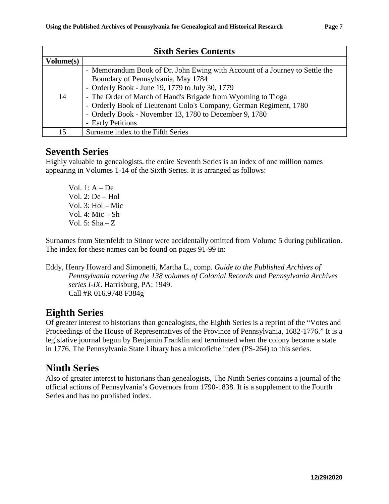| <b>Sixth Series Contents</b> |                                                                             |  |  |
|------------------------------|-----------------------------------------------------------------------------|--|--|
| Volume(s)                    |                                                                             |  |  |
|                              | - Memorandum Book of Dr. John Ewing with Account of a Journey to Settle the |  |  |
|                              | Boundary of Pennsylvania, May 1784                                          |  |  |
|                              | - Orderly Book - June 19, 1779 to July 30, 1779                             |  |  |
| 14                           | - The Order of March of Hand's Brigade from Wyoming to Tioga                |  |  |
|                              | - Orderly Book of Lieutenant Colo's Company, German Regiment, 1780          |  |  |
|                              | - Orderly Book - November 13, 1780 to December 9, 1780                      |  |  |
|                              | - Early Petitions                                                           |  |  |
| 15                           | Surname index to the Fifth Series                                           |  |  |

### **Seventh Series**

Highly valuable to genealogists, the entire Seventh Series is an index of one million names appearing in Volumes 1-14 of the Sixth Series. It is arranged as follows:

Vol. 1: A – De Vol. 2: De – Hol Vol. 3: Hol – Mic Vol. 4: Mic – Sh Vol. 5:  $Sha - Z$ 

Surnames from Sternfeldt to Stinor were accidentally omitted from Volume 5 during publication. The index for these names can be found on pages 91-99 in:

Eddy, Henry Howard and Simonetti, Martha L., comp. *Guide to the Published Archives of Pennsylvania covering the 138 volumes of Colonial Records and Pennsylvania Archives series I-IX*. Harrisburg, PA: 1949. Call #R 016.9748 F384g

### **Eighth Series**

Of greater interest to historians than genealogists, the Eighth Series is a reprint of the "Votes and Proceedings of the House of Representatives of the Province of Pennsylvania, 1682-1776." It is a legislative journal begun by Benjamin Franklin and terminated when the colony became a state in 1776. The Pennsylvania State Library has a microfiche index (PS-264) to this series.

# **Ninth Series**

Also of greater interest to historians than genealogists, The Ninth Series contains a journal of the official actions of Pennsylvania's Governors from 1790-1838. It is a supplement to the Fourth Series and has no published index.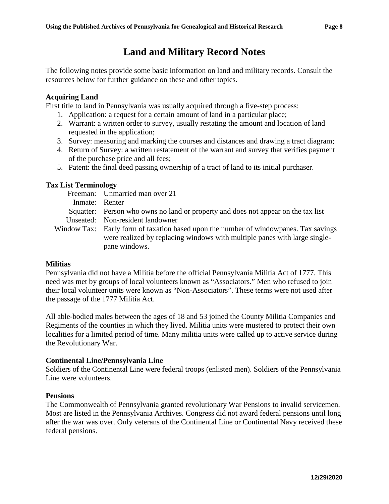# **Land and Military Record Notes**

The following notes provide some basic information on land and military records. Consult the resources below for further guidance on these and other topics.

#### **Acquiring Land**

First title to land in Pennsylvania was usually acquired through a five-step process:

- 1. Application: a request for a certain amount of land in a particular place;
- 2. Warrant: a written order to survey, usually restating the amount and location of land requested in the application;
- 3. Survey: measuring and marking the courses and distances and drawing a tract diagram;
- 4. Return of Survey: a written restatement of the warrant and survey that verifies payment of the purchase price and all fees;
- 5. Patent: the final deed passing ownership of a tract of land to its initial purchaser.

#### **Tax List Terminology**

Freeman: Unmarried man over 21 Inmate: Renter Squatter: Person who owns no land or property and does not appear on the tax list Unseated: Non-resident landowner Window Tax: Early form of taxation based upon the number of windowpanes. Tax savings were realized by replacing windows with multiple panes with large singlepane windows.

#### **Militias**

Pennsylvania did not have a Militia before the official Pennsylvania Militia Act of 1777. This need was met by groups of local volunteers known as "Associators." Men who refused to join their local volunteer units were known as "Non-Associators". These terms were not used after the passage of the 1777 Militia Act.

All able-bodied males between the ages of 18 and 53 joined the County Militia Companies and Regiments of the counties in which they lived. Militia units were mustered to protect their own localities for a limited period of time. Many militia units were called up to active service during the Revolutionary War.

#### **Continental Line/Pennsylvania Line**

Soldiers of the Continental Line were federal troops (enlisted men). Soldiers of the Pennsylvania Line were volunteers.

#### **Pensions**

The Commonwealth of Pennsylvania granted revolutionary War Pensions to invalid servicemen. Most are listed in the Pennsylvania Archives. Congress did not award federal pensions until long after the war was over. Only veterans of the Continental Line or Continental Navy received these federal pensions.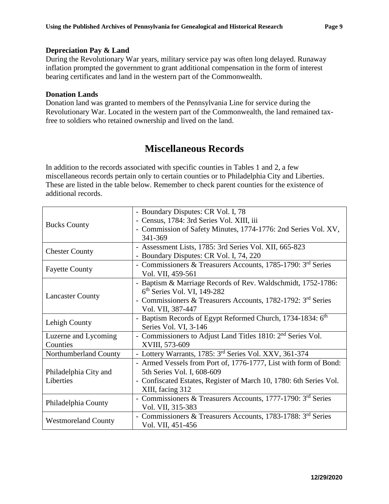#### **Depreciation Pay & Land**

During the Revolutionary War years, military service pay was often long delayed. Runaway inflation prompted the government to grant additional compensation in the form of interest bearing certificates and land in the western part of the Commonwealth.

#### **Donation Lands**

Donation land was granted to members of the Pennsylvania Line for service during the Revolutionary War. Located in the western part of the Commonwealth, the land remained taxfree to soldiers who retained ownership and lived on the land.

### **Miscellaneous Records**

In addition to the records associated with specific counties in Tables 1 and 2, a few miscellaneous records pertain only to certain counties or to Philadelphia City and Liberties. These are listed in the table below. Remember to check parent counties for the existence of additional records.

|                            | - Boundary Disputes: CR Vol. I, 78                                       |
|----------------------------|--------------------------------------------------------------------------|
|                            | - Census, 1784: 3rd Series Vol. XIII, iii                                |
| <b>Bucks County</b>        | - Commission of Safety Minutes, 1774-1776: 2nd Series Vol. XV,           |
|                            | 341-369                                                                  |
|                            | - Assessment Lists, 1785: 3rd Series Vol. XII, 665-823                   |
| <b>Chester County</b>      | - Boundary Disputes: CR Vol. I, 74, 220                                  |
|                            | - Commissioners & Treasurers Accounts, 1785-1790: 3 <sup>rd</sup> Series |
| <b>Fayette County</b>      | Vol. VII, 459-561                                                        |
|                            | - Baptism & Marriage Records of Rev. Waldschmidt, 1752-1786:             |
|                            | $6th$ Series Vol. VI, 149-282                                            |
| <b>Lancaster County</b>    | - Commissioners & Treasurers Accounts, 1782-1792: 3rd Series             |
|                            | Vol. VII, 387-447                                                        |
|                            | - Baptism Records of Egypt Reformed Church, 1734-1834: 6 <sup>th</sup>   |
| Lehigh County              | Series Vol. VI, 3-146                                                    |
| Luzerne and Lycoming       | - Commissioners to Adjust Land Titles 1810: 2 <sup>nd</sup> Series Vol.  |
| Counties                   | XVIII, 573-609                                                           |
| Northumberland County      | - Lottery Warrants, 1785: 3 <sup>rd</sup> Series Vol. XXV, 361-374       |
|                            | - Armed Vessels from Port of, 1776-1777, List with form of Bond:         |
| Philadelphia City and      | 5th Series Vol. I, 608-609                                               |
| Liberties                  | - Confiscated Estates, Register of March 10, 1780: 6th Series Vol.       |
|                            | XIII, facing 312                                                         |
|                            | - Commissioners & Treasurers Accounts, 1777-1790: 3rd Series             |
| Philadelphia County        | Vol. VII, 315-383                                                        |
|                            | - Commissioners & Treasurers Accounts, 1783-1788: 3rd Series             |
| <b>Westmoreland County</b> | Vol. VII, 451-456                                                        |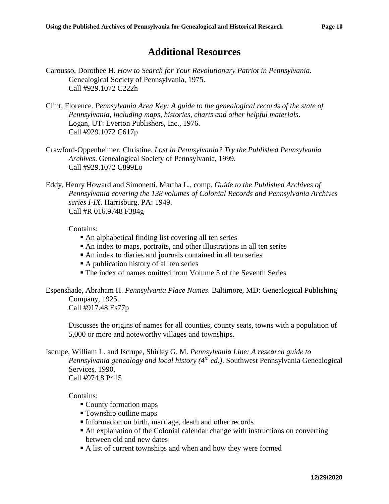### **Additional Resources**

- Carousso, Dorothee H. *How to Search for Your Revolutionary Patriot in Pennsylvania*. Genealogical Society of Pennsylvania, 1975. Call #929.1072 C222h
- Clint, Florence. *Pennsylvania Area Key: A guide to the genealogical records of the state of Pennsylvania, including maps, histories, charts and other helpful materials*. Logan, UT: Everton Publishers, Inc., 1976. Call #929.1072 C617p
- Crawford-Oppenheimer, Christine. *Lost in Pennsylvania? Try the Published Pennsylvania Archives*. Genealogical Society of Pennsylvania, 1999. Call #929.1072 C899Lo
- Eddy, Henry Howard and Simonetti, Martha L., comp. *Guide to the Published Archives of Pennsylvania covering the 138 volumes of Colonial Records and Pennsylvania Archives series I-IX*. Harrisburg, PA: 1949. Call #R 016.9748 F384g

Contains:

- An alphabetical finding list covering all ten series
- An index to maps, portraits, and other illustrations in all ten series
- An index to diaries and journals contained in all ten series
- A publication history of all ten series
- The index of names omitted from Volume 5 of the Seventh Series

Espenshade, Abraham H. *Pennsylvania Place Names*. Baltimore, MD: Genealogical Publishing Company, 1925.

Call #917.48 Es77p

Discusses the origins of names for all counties, county seats, towns with a population of 5,000 or more and noteworthy villages and townships.

Iscrupe, William L. and Iscrupe, Shirley G. M. *Pennsylvania Line: A research guide to Pennsylvania genealogy and local history (4th ed.)*. Southwest Pennsylvania Genealogical Services, 1990. Call #974.8 P415

Contains:

- County formation maps
- Township outline maps
- Information on birth, marriage, death and other records
- An explanation of the Colonial calendar change with instructions on converting between old and new dates
- A list of current townships and when and how they were formed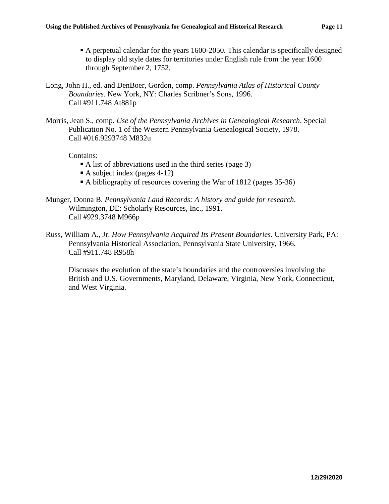- A perpetual calendar for the years 1600-2050. This calendar is specifically designed to display old style dates for territories under English rule from the year 1600 through September 2, 1752.
- Long, John H., ed. and DenBoer, Gordon, comp. *Pennsylvania Atlas of Historical County Boundaries*. New York, NY: Charles Scribner's Sons, 1996. Call #911.748 At881p
- Morris, Jean S., comp. *Use of the Pennsylvania Archives in Genealogical Research*. Special Publication No. 1 of the Western Pennsylvania Genealogical Society, 1978. Call #016.9293748 M832u

Contains:

- A list of abbreviations used in the third series (page 3)
- A subject index (pages 4-12)
- A bibliography of resources covering the War of 1812 (pages 35-36)
- Munger, Donna B. *Pennsylvania Land Records: A history and guide for research*. Wilmington, DE: Scholarly Resources, Inc., 1991. Call #929.3748 M966p
- Russ, William A., Jr. *How Pennsylvania Acquired Its Present Boundaries*. University Park, PA: Pennsylvania Historical Association, Pennsylvania State University, 1966. Call #911.748 R958h

Discusses the evolution of the state's boundaries and the controversies involving the British and U.S. Governments, Maryland, Delaware, Virginia, New York, Connecticut, and West Virginia.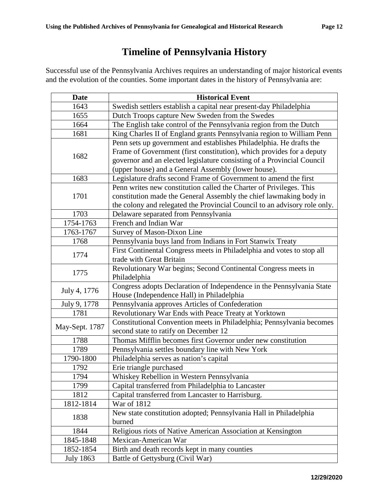# **Timeline of Pennsylvania History**

Successful use of the Pennsylvania Archives requires an understanding of major historical events and the evolution of the counties. Some important dates in the history of Pennsylvania are:

| <b>Date</b>                                                                                                                        | <b>Historical Event</b>                                                                                                                                                                                                                                                       |
|------------------------------------------------------------------------------------------------------------------------------------|-------------------------------------------------------------------------------------------------------------------------------------------------------------------------------------------------------------------------------------------------------------------------------|
| 1643                                                                                                                               | Swedish settlers establish a capital near present-day Philadelphia                                                                                                                                                                                                            |
| 1655                                                                                                                               | Dutch Troops capture New Sweden from the Swedes                                                                                                                                                                                                                               |
| 1664                                                                                                                               | The English take control of the Pennsylvania region from the Dutch                                                                                                                                                                                                            |
| 1681                                                                                                                               | King Charles II of England grants Pennsylvania region to William Penn                                                                                                                                                                                                         |
| 1682                                                                                                                               | Penn sets up government and establishes Philadelphia. He drafts the<br>Frame of Government (first constitution), which provides for a deputy<br>governor and an elected legislature consisting of a Provincial Council<br>(upper house) and a General Assembly (lower house). |
| 1683                                                                                                                               | Legislature drafts second Frame of Government to amend the first                                                                                                                                                                                                              |
| 1701                                                                                                                               | Penn writes new constitution called the Charter of Privileges. This<br>constitution made the General Assembly the chief lawmaking body in<br>the colony and relegated the Provincial Council to an advisory role only.                                                        |
| 1703                                                                                                                               | Delaware separated from Pennsylvania                                                                                                                                                                                                                                          |
| 1754-1763                                                                                                                          | French and Indian War                                                                                                                                                                                                                                                         |
| 1763-1767                                                                                                                          | Survey of Mason-Dixon Line                                                                                                                                                                                                                                                    |
| 1768                                                                                                                               | Pennsylvania buys land from Indians in Fort Stanwix Treaty                                                                                                                                                                                                                    |
| 1774                                                                                                                               | First Continental Congress meets in Philadelphia and votes to stop all<br>trade with Great Britain                                                                                                                                                                            |
| 1775                                                                                                                               | Revolutionary War begins; Second Continental Congress meets in<br>Philadelphia                                                                                                                                                                                                |
| Congress adopts Declaration of Independence in the Pennsylvania State<br>July 4, 1776<br>House (Independence Hall) in Philadelphia |                                                                                                                                                                                                                                                                               |
| July 9, 1778                                                                                                                       | Pennsylvania approves Articles of Confederation                                                                                                                                                                                                                               |
| 1781                                                                                                                               | Revolutionary War Ends with Peace Treaty at Yorktown                                                                                                                                                                                                                          |
| Constitutional Convention meets in Philadelphia; Pennsylvania becomes<br>May-Sept. 1787<br>second state to ratify on December 12   |                                                                                                                                                                                                                                                                               |
| 1788                                                                                                                               | Thomas Mifflin becomes first Governor under new constitution                                                                                                                                                                                                                  |
| 1789                                                                                                                               | Pennsylvania settles boundary line with New York                                                                                                                                                                                                                              |
| 1790-1800                                                                                                                          | Philadelphia serves as nation's capital                                                                                                                                                                                                                                       |
| 1792                                                                                                                               | Erie triangle purchased                                                                                                                                                                                                                                                       |
| 1794                                                                                                                               | Whiskey Rebellion in Western Pennsylvania                                                                                                                                                                                                                                     |
| 1799                                                                                                                               | Capital transferred from Philadelphia to Lancaster                                                                                                                                                                                                                            |
| 1812                                                                                                                               | Capital transferred from Lancaster to Harrisburg.                                                                                                                                                                                                                             |
| 1812-1814                                                                                                                          | War of 1812                                                                                                                                                                                                                                                                   |
| 1838                                                                                                                               | New state constitution adopted; Pennsylvania Hall in Philadelphia<br>burned                                                                                                                                                                                                   |
| 1844                                                                                                                               | Religious riots of Native American Association at Kensington                                                                                                                                                                                                                  |
| 1845-1848                                                                                                                          | Mexican-American War                                                                                                                                                                                                                                                          |
| 1852-1854                                                                                                                          | Birth and death records kept in many counties                                                                                                                                                                                                                                 |
| <b>July 1863</b>                                                                                                                   | Battle of Gettysburg (Civil War)                                                                                                                                                                                                                                              |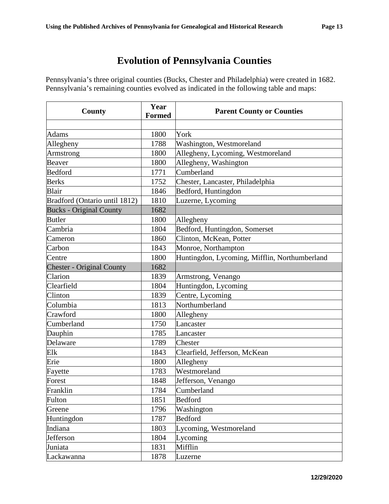# **Evolution of Pennsylvania Counties**

Pennsylvania's three original counties (Bucks, Chester and Philadelphia) were created in 1682. Pennsylvania's remaining counties evolved as indicated in the following table and maps:

| County                           | Year<br><b>Formed</b> | <b>Parent County or Counties</b>              |
|----------------------------------|-----------------------|-----------------------------------------------|
|                                  |                       |                                               |
| <b>Adams</b>                     | 1800                  | York                                          |
| Allegheny                        | 1788                  | Washington, Westmoreland                      |
| Armstrong                        | 1800                  | Allegheny, Lycoming, Westmoreland             |
| Beaver                           | 1800                  | Allegheny, Washington                         |
| <b>Bedford</b>                   | 1771                  | Cumberland                                    |
| <b>Berks</b>                     | 1752                  | Chester, Lancaster, Philadelphia              |
| Blair                            | 1846                  | Bedford, Huntingdon                           |
| Bradford (Ontario until 1812)    | 1810                  | Luzerne, Lycoming                             |
| <b>Bucks - Original County</b>   | 1682                  |                                               |
| <b>Butler</b>                    | 1800                  | Allegheny                                     |
| Cambria                          | 1804                  | Bedford, Huntingdon, Somerset                 |
| Cameron                          | 1860                  | Clinton, McKean, Potter                       |
| Carbon                           | 1843                  | Monroe, Northampton                           |
| Centre                           | 1800                  | Huntingdon, Lycoming, Mifflin, Northumberland |
| <b>Chester - Original County</b> | 1682                  |                                               |
| Clarion                          | 1839                  | Armstrong, Venango                            |
| Clearfield                       | 1804                  | Huntingdon, Lycoming                          |
| Clinton                          | 1839                  | Centre, Lycoming                              |
| Columbia                         | 1813                  | Northumberland                                |
| Crawford                         | 1800                  | Allegheny                                     |
| Cumberland                       | 1750                  | Lancaster                                     |
| Dauphin                          | 1785                  | Lancaster                                     |
| Delaware                         | 1789                  | Chester                                       |
| Elk                              | 1843                  | Clearfield, Jefferson, McKean                 |
| Erie                             | 1800                  | Allegheny                                     |
| Fayette                          | 1783                  | Westmoreland                                  |
| Forest                           | 1848                  | Jefferson, Venango                            |
| Franklin                         | 1784                  | Cumberland                                    |
| Fulton                           | 1851                  | <b>Bedford</b>                                |
| Greene                           | 1796                  | Washington                                    |
| Huntingdon                       | 1787                  | <b>Bedford</b>                                |
| Indiana                          | 1803                  | Lycoming, Westmoreland                        |
| Jefferson                        | 1804                  | Lycoming                                      |
| Juniata                          | 1831                  | Mifflin                                       |
| Lackawanna                       | 1878                  | Luzerne                                       |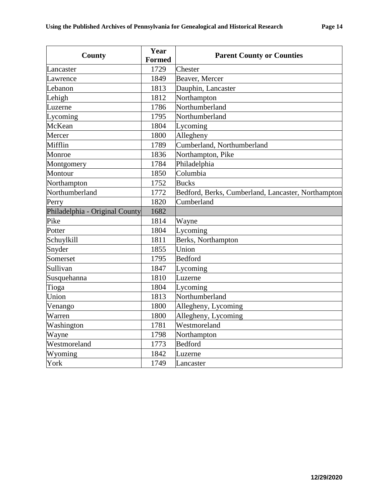| <b>County</b>                  | Year<br><b>Formed</b> | <b>Parent County or Counties</b>                   |
|--------------------------------|-----------------------|----------------------------------------------------|
| Lancaster                      | 1729                  | Chester                                            |
| Lawrence                       | 1849                  | Beaver, Mercer                                     |
| Lebanon                        | 1813                  | Dauphin, Lancaster                                 |
|                                |                       |                                                    |
| Lehigh                         | 1812                  | Northampton<br>Northumberland                      |
| Luzerne                        | 1786                  |                                                    |
| Lycoming                       | 1795                  | Northumberland                                     |
| McKean                         | 1804                  | Lycoming                                           |
| Mercer                         | 1800                  | Allegheny                                          |
| Mifflin                        | 1789                  | Cumberland, Northumberland                         |
| Monroe                         | 1836                  | Northampton, Pike                                  |
| Montgomery                     | 1784                  | Philadelphia                                       |
| Montour                        | 1850                  | Columbia                                           |
| Northampton                    | 1752                  | <b>Bucks</b>                                       |
| Northumberland                 | 1772                  | Bedford, Berks, Cumberland, Lancaster, Northampton |
| Perry                          | 1820                  | Cumberland                                         |
| Philadelphia - Original County | 1682                  |                                                    |
| Pike                           | 1814                  | Wayne                                              |
| Potter                         | 1804                  | Lycoming                                           |
| Schuylkill                     | 1811                  | Berks, Northampton                                 |
| Snyder                         | 1855                  | Union                                              |
| Somerset                       | 1795                  | <b>Bedford</b>                                     |
| Sullivan                       | 1847                  | Lycoming                                           |
| Susquehanna                    | 1810                  | Luzerne                                            |
| Tioga                          | 1804                  | Lycoming                                           |
| Union                          | 1813                  | Northumberland                                     |
| Venango                        | 1800                  | Allegheny, Lycoming                                |
| Warren                         | 1800                  | Allegheny, Lycoming                                |
| Washington                     | 1781                  | Westmoreland                                       |
| Wayne                          | 1798                  | Northampton                                        |
| Westmoreland                   | 1773                  | <b>Bedford</b>                                     |
| Wyoming                        | 1842                  | Luzerne                                            |
| York                           | 1749                  | Lancaster                                          |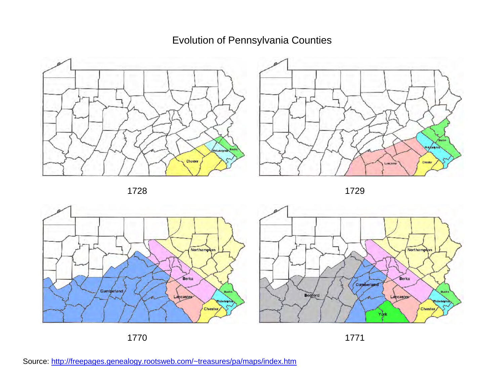Evolution of Pennsylvania Counties















Source: http://freepages.genealogy.rootsweb.com/~treasures/pa/maps/index.htm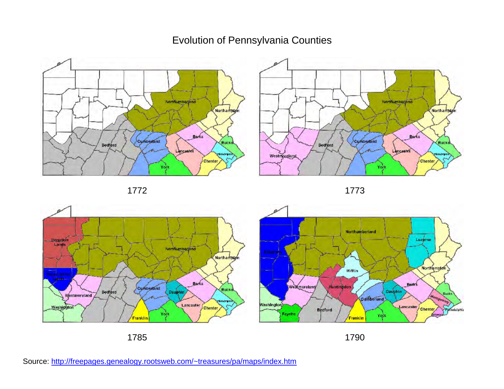# Evolution of Pennsylvania Counties













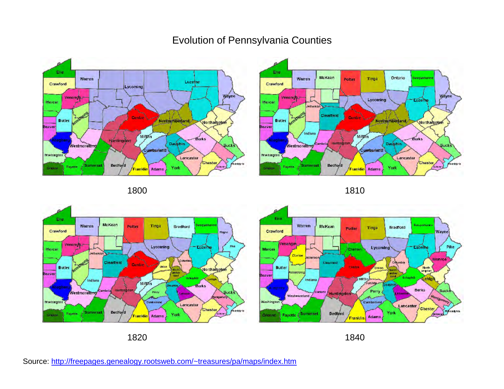#### Erie Warren Luzenne Crawford Lycoming Wayne Venando Mercer meterne Centre<sup>1</sup> **Butler** Northumberland Northampten Beaver Mifthn **Berks Huntingdon** Dauphin **Bucks Westmoreland** Cumberland Washingto Lancaster Chester  $\left(\frac{1}{2}\right)$ Philosopria Bedford somersel Fayette Greane **ranklin** Adams York

# Evolution of Pennsylvania Counties











1820 1840

Source: http://freepages.genealogy.rootsweb.com/~treasures/pa/maps/index.htm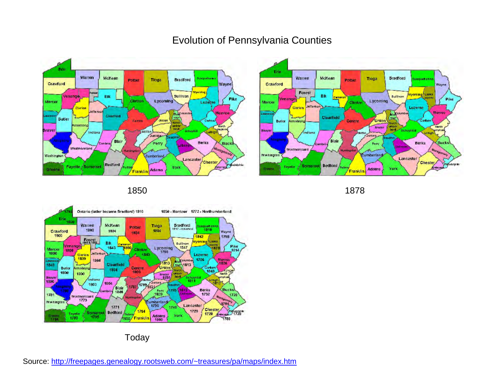#### Erle Warren McKean **Bradford** Susquehanns Potter Tloga Crawford **Wayne** mina **Jenango** Elk Sullivan **Pike** Cunton Mercer **Lycoming** Luzetne Clarion lefferso **Multipolishing** Monroe Clearfield Butler Centre Unlon North mistrong umber<br>Jandi North Lehight Beaver Schuylkill **Million** Indiana Juniața-Blair Berks Perry Bucks dhand Westmoreland  $^{2}$ 90 $-$ Washington Cumberland **Lancaster** Chester er<br>Delaware Plandelphia Bedford Fayette Somerset York Greene **Adams Franklin**

### Evolution of Pennsylvania Counties







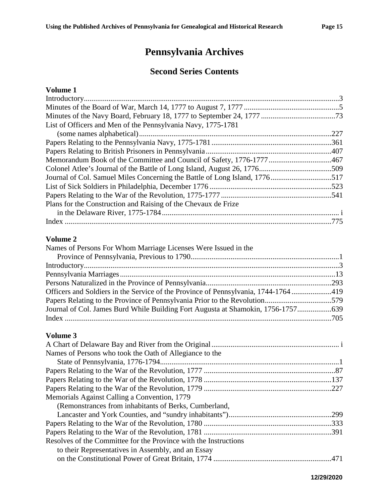# **Pennsylvania Archives**

### **Second Series Contents**

#### **Volume 1**

| List of Officers and Men of the Pennsylvania Navy, 1775-1781               |  |
|----------------------------------------------------------------------------|--|
|                                                                            |  |
|                                                                            |  |
|                                                                            |  |
| Memorandum Book of the Committee and Council of Safety, 1776-1777 467      |  |
|                                                                            |  |
| Journal of Col. Samuel Miles Concerning the Battle of Long Island, 1776517 |  |
|                                                                            |  |
|                                                                            |  |
| Plans for the Construction and Raising of the Chevaux de Frize             |  |
|                                                                            |  |
|                                                                            |  |

#### **Volume 2**

| Names of Persons For Whom Marriage Licenses Were Issued in the                      |  |
|-------------------------------------------------------------------------------------|--|
|                                                                                     |  |
|                                                                                     |  |
|                                                                                     |  |
|                                                                                     |  |
| Officers and Soldiers in the Service of the Province of Pennsylvania, 1744-1764 419 |  |
|                                                                                     |  |
| Journal of Col. James Burd While Building Fort Augusta at Shamokin, 1756-1757       |  |
|                                                                                     |  |

| Names of Persons who took the Oath of Allegiance to the          |  |
|------------------------------------------------------------------|--|
|                                                                  |  |
|                                                                  |  |
|                                                                  |  |
|                                                                  |  |
| Memorials Against Calling a Convention, 1779                     |  |
| (Remonstrances from inhabitants of Berks, Cumberland,            |  |
|                                                                  |  |
|                                                                  |  |
|                                                                  |  |
| Resolves of the Committee for the Province with the Instructions |  |
| to their Representatives in Assembly, and an Essay               |  |
|                                                                  |  |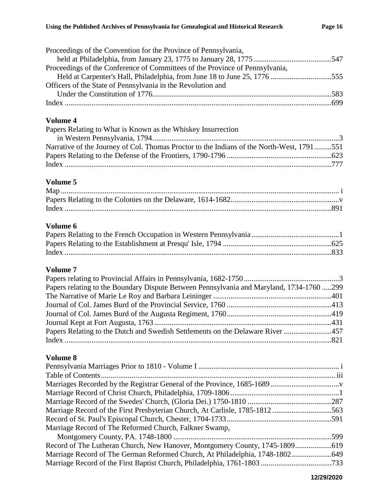| Proceedings of the Convention for the Province of Pennsylvania,              |  |
|------------------------------------------------------------------------------|--|
|                                                                              |  |
| Proceedings of the Conference of Committees of the Province of Pennsylvania, |  |
|                                                                              |  |
| Officers of the State of Pennsylvania in the Revolution and                  |  |
|                                                                              |  |
|                                                                              |  |
|                                                                              |  |

| Papers Relating to What is Known as the Whiskey Insurrection                              |  |
|-------------------------------------------------------------------------------------------|--|
|                                                                                           |  |
| Narrative of the Journey of Col. Thomas Proctor to the Indians of the North-West, 1791551 |  |
|                                                                                           |  |
|                                                                                           |  |

#### **Volume 5**

#### **Volume 6**

#### **Volume 7**

| Papers relating to the Boundary Dispute Between Pennsylvania and Maryland, 1734-1760 299 |  |
|------------------------------------------------------------------------------------------|--|
|                                                                                          |  |
|                                                                                          |  |
|                                                                                          |  |
|                                                                                          |  |
| Papers Relating to the Dutch and Swedish Settlements on the Delaware River               |  |
|                                                                                          |  |
|                                                                                          |  |

| Marriage Record of the First Presbyterian Church, At Carlisle, 1785-1812 563 |  |
|------------------------------------------------------------------------------|--|
|                                                                              |  |
| Marriage Record of The Reformed Church, Falkner Swamp,                       |  |
|                                                                              |  |
|                                                                              |  |
|                                                                              |  |
|                                                                              |  |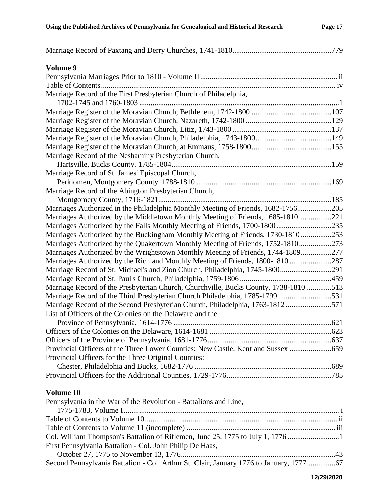| Volume 9                                                                             |  |
|--------------------------------------------------------------------------------------|--|
|                                                                                      |  |
|                                                                                      |  |
| Marriage Record of the First Presbyterian Church of Philadelphia,                    |  |
|                                                                                      |  |
|                                                                                      |  |
|                                                                                      |  |
|                                                                                      |  |
|                                                                                      |  |
| Marriage Record of the Neshaminy Presbyterian Church,                                |  |
|                                                                                      |  |
| Marriage Record of St. James' Episcopal Church,                                      |  |
|                                                                                      |  |
| Marriage Record of the Abington Presbyterian Church,                                 |  |
|                                                                                      |  |
| Marriages Authorized in the Philadelphia Monthly Meeting of Friends, 1682-1756205    |  |
| Marriages Authorized by the Middletown Monthly Meeting of Friends, 1685-1810221      |  |
| Marriages Authorized by the Falls Monthly Meeting of Friends, 1700-1800235           |  |
| Marriages Authorized by the Buckingham Monthly Meeting of Friends, 1730-1810 253     |  |
| Marriages Authorized by the Quakertown Monthly Meeting of Friends, 1752-1810273      |  |
| Marriages Authorized by the Wrightstown Monthly Meeting of Friends, 1744-1809277     |  |
| Marriages Authorized by the Richland Monthly Meeting of Friends, 1800-1810 287       |  |
|                                                                                      |  |
|                                                                                      |  |
| Marriage Record of the Presbyterian Church, Churchville, Bucks County, 1738-1810 513 |  |
| Marriage Record of the Third Presbyterian Church Philadelphia, 1785-1799 531         |  |
| Marriage Record of the Second Presbyterian Church, Philadelphia, 1763-1812571        |  |
| List of Officers of the Colonies on the Delaware and the                             |  |
|                                                                                      |  |
|                                                                                      |  |
|                                                                                      |  |
| Provincial Officers of the Three Lower Counties: New Castle, Kent and Sussex         |  |
| Provincial Officers for the Three Original Counties:                                 |  |
|                                                                                      |  |
|                                                                                      |  |
| Volume 10                                                                            |  |
| Pennsylvania in the War of the Revolution - Battalions and Line,                     |  |

| Col. William Thompson's Battalion of Riflemen, June 25, 1775 to July 1, 1776         |  |
|--------------------------------------------------------------------------------------|--|
| First Pennsylvania Battalion - Col. John Philip De Haas,                             |  |
|                                                                                      |  |
| Second Pennsylvania Battalion - Col. Arthur St. Clair, January 1776 to January, 1777 |  |
|                                                                                      |  |

#### **12/29/2020**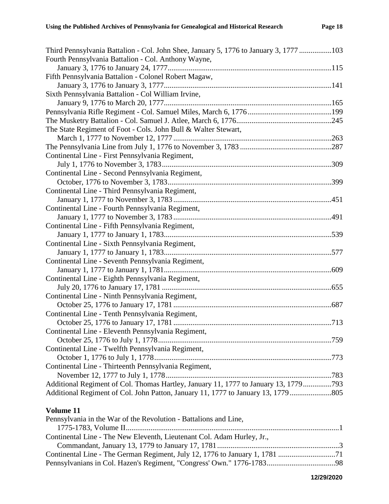| Third Pennsylvania Battalion - Col. John Shee, January 5, 1776 to January 3, 1777 103 |  |
|---------------------------------------------------------------------------------------|--|
| Fourth Pennsylvania Battalion - Col. Anthony Wayne,                                   |  |
|                                                                                       |  |
| Fifth Pennsylvania Battalion - Colonel Robert Magaw,                                  |  |
|                                                                                       |  |
| Sixth Pennsylvania Battalion - Col William Irvine,                                    |  |
|                                                                                       |  |
|                                                                                       |  |
|                                                                                       |  |
| The State Regiment of Foot - Cols. John Bull & Walter Stewart,                        |  |
|                                                                                       |  |
|                                                                                       |  |
| Continental Line - First Pennsylvania Regiment,                                       |  |
|                                                                                       |  |
| Continental Line - Second Pennsylvania Regiment,                                      |  |
|                                                                                       |  |
| Continental Line - Third Pennsylvania Regiment,                                       |  |
|                                                                                       |  |
| Continental Line - Fourth Pennsylvania Regiment,                                      |  |
|                                                                                       |  |
| Continental Line - Fifth Pennsylvania Regiment,                                       |  |
|                                                                                       |  |
| Continental Line - Sixth Pennsylvania Regiment,                                       |  |
|                                                                                       |  |
| Continental Line - Seventh Pennsylvania Regiment,                                     |  |
|                                                                                       |  |
| Continental Line - Eighth Pennsylvania Regiment,                                      |  |
|                                                                                       |  |
| Continental Line - Ninth Pennsylvania Regiment,                                       |  |
|                                                                                       |  |
| Continental Line - Tenth Pennsylvania Regiment,                                       |  |
|                                                                                       |  |
| Continental Line - Eleventh Pennsylvania Regiment,                                    |  |
|                                                                                       |  |
| Continental Line - Twelfth Pennsylvania Regiment,                                     |  |
|                                                                                       |  |
| Continental Line - Thirteenth Pennsylvania Regiment,                                  |  |
|                                                                                       |  |
| Additional Regiment of Col. Thomas Hartley, January 11, 1777 to January 13, 1779793   |  |
| Additional Regiment of Col. John Patton, January 11, 1777 to January 13, 1779         |  |
|                                                                                       |  |

| Pennsylvania in the War of the Revolution - Battalions and Line,       |  |
|------------------------------------------------------------------------|--|
|                                                                        |  |
| Continental Line - The New Eleventh, Lieutenant Col. Adam Hurley, Jr., |  |
|                                                                        |  |
|                                                                        |  |
|                                                                        |  |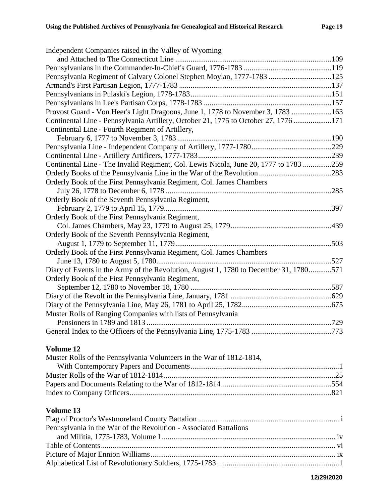| Independent Companies raised in the Valley of Wyoming                                 |  |
|---------------------------------------------------------------------------------------|--|
|                                                                                       |  |
|                                                                                       |  |
| Pennsylvania Regiment of Calvary Colonel Stephen Moylan, 1777-1783 125                |  |
|                                                                                       |  |
|                                                                                       |  |
|                                                                                       |  |
| Provost Guard - Von Heer's Light Dragoons, June 1, 1778 to November 3, 1783 163       |  |
| Continental Line - Pennsylvania Artillery, October 21, 1775 to October 27, 1776 171   |  |
| Continental Line - Fourth Regiment of Artillery,                                      |  |
|                                                                                       |  |
|                                                                                       |  |
|                                                                                       |  |
| Continental Line - The Invalid Regiment, Col. Lewis Nicola, June 20, 1777 to 1783 259 |  |
|                                                                                       |  |
| Orderly Book of the First Pennsylvania Regiment, Col. James Chambers                  |  |
|                                                                                       |  |
| Orderly Book of the Seventh Pennsylvania Regiment,                                    |  |
|                                                                                       |  |
| Orderly Book of the First Pennsylvania Regiment,                                      |  |
|                                                                                       |  |
| Orderly Book of the Seventh Pennsylvania Regiment,                                    |  |
|                                                                                       |  |
| Orderly Book of the First Pennsylvania Regiment, Col. James Chambers                  |  |
|                                                                                       |  |
| Diary of Events in the Army of the Revolution, August 1, 1780 to December 31, 1780571 |  |
| Orderly Book of the First Pennsylvania Regiment,                                      |  |
|                                                                                       |  |
|                                                                                       |  |
|                                                                                       |  |
| Muster Rolls of Ranging Companies with lists of Pennsylvania                          |  |
|                                                                                       |  |
|                                                                                       |  |

| Pennsylvania in the War of the Revolution - Associated Battalions |  |
|-------------------------------------------------------------------|--|
|                                                                   |  |
|                                                                   |  |
|                                                                   |  |
|                                                                   |  |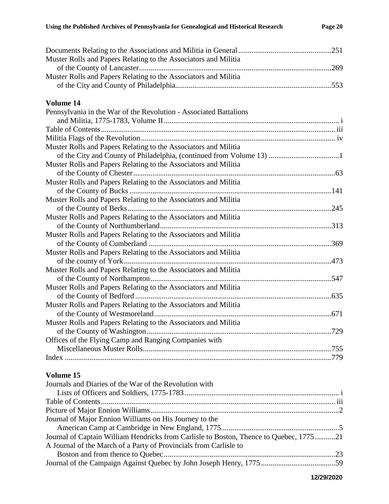| Muster Rolls and Papers Relating to the Associators and Militia   |  |
|-------------------------------------------------------------------|--|
| Muster Rolls and Papers Relating to the Associators and Militia   |  |
|                                                                   |  |
| Volume 14                                                         |  |
| Pennsylvania in the War of the Revolution - Associated Battalions |  |
|                                                                   |  |
|                                                                   |  |
|                                                                   |  |
| Muster Rolls and Papers Relating to the Associators and Militia   |  |
|                                                                   |  |
| Muster Rolls and Papers Relating to the Associators and Militia   |  |
|                                                                   |  |
| Muster Rolls and Papers Relating to the Associators and Militia   |  |
|                                                                   |  |
| Muster Rolls and Papers Relating to the Associators and Militia   |  |
|                                                                   |  |
| Muster Rolls and Papers Relating to the Associators and Militia   |  |
|                                                                   |  |
| Muster Rolls and Papers Relating to the Associators and Militia   |  |
|                                                                   |  |
| Muster Rolls and Papers Relating to the Associators and Militia   |  |
|                                                                   |  |
| Muster Rolls and Papers Relating to the Associators and Militia   |  |
|                                                                   |  |
| Muster Rolls and Papers Relating to the Associators and Militia   |  |
|                                                                   |  |
| Muster Rolls and Papers Relating to the Associators and Militia   |  |
|                                                                   |  |
| Muster Rolls and Papers Relating to the Associators and Militia   |  |
|                                                                   |  |
| Offices of the Flying Camp and Ranging Companies with             |  |
|                                                                   |  |
|                                                                   |  |
|                                                                   |  |

| Journals and Diaries of the War of the Revolution with                                 |  |
|----------------------------------------------------------------------------------------|--|
|                                                                                        |  |
|                                                                                        |  |
|                                                                                        |  |
| Journal of Major Ennion Williams on His Journey to the                                 |  |
|                                                                                        |  |
| Journal of Captain William Hendricks from Carlisle to Boston, Thence to Quebec, 177521 |  |
| A Journal of the March of a Party of Provincials from Carlisle to                      |  |
|                                                                                        |  |
|                                                                                        |  |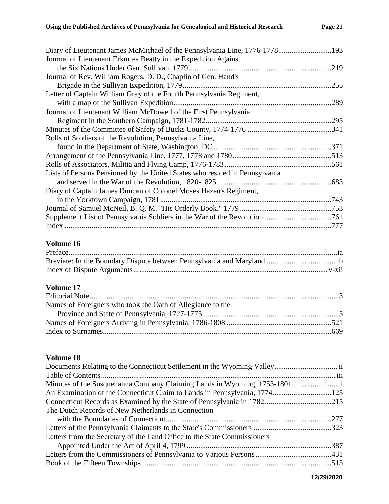| Diary of Lieutenant James McMichael of the Pennsylvania Line, 1776-1778193  |      |
|-----------------------------------------------------------------------------|------|
| Journal of Lieutenant Erkuries Beatty in the Expedition Against             |      |
|                                                                             | .219 |
| Journal of Rev. William Rogers, D. D., Chaplin of Gen. Hand's               |      |
|                                                                             | .255 |
| Letter of Captain William Gray of the Fourth Pennsylvania Regiment,         |      |
|                                                                             | .289 |
| Journal of Lieutenant William McDowell of the First Pennsylvania            |      |
|                                                                             |      |
|                                                                             |      |
| Rolls of Soldiers of the Revolution, Pennsylvania Line,                     |      |
|                                                                             | .371 |
|                                                                             |      |
|                                                                             |      |
| Lists of Persons Pensioned by the United States who resided in Pennsylvania |      |
|                                                                             |      |
| Diary of Captain James Duncan of Colonel Moses Hazen's Regiment,            |      |
|                                                                             |      |
|                                                                             |      |
|                                                                             |      |
|                                                                             |      |
|                                                                             |      |

#### **Volume 17**

| Names of Foreigners who took the Oath of Allegiance to the |  |
|------------------------------------------------------------|--|
|                                                            |  |
|                                                            |  |
|                                                            |  |

| The Dutch Records of New Netherlands in Connection                       |  |
|--------------------------------------------------------------------------|--|
|                                                                          |  |
|                                                                          |  |
| Letters from the Secretary of the Land Office to the State Commissioners |  |
|                                                                          |  |
|                                                                          |  |
|                                                                          |  |
|                                                                          |  |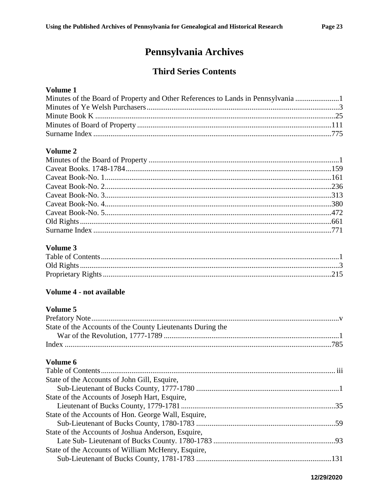# Pennsylvania Archives

### **Third Series Contents**

#### Volume 1

| Minutes of the Board of Property and Other References to Lands in Pennsylvania |  |
|--------------------------------------------------------------------------------|--|
|                                                                                |  |
|                                                                                |  |
|                                                                                |  |
|                                                                                |  |

#### Volume 2

#### Volume 3

#### Volume 4 - not available

#### Volume 5

| State of the Accounts of the County Lieutenants During the |  |
|------------------------------------------------------------|--|
|                                                            |  |
|                                                            |  |
|                                                            |  |

| State of the Accounts of John Gill, Esquire,        |  |
|-----------------------------------------------------|--|
|                                                     |  |
| State of the Accounts of Joseph Hart, Esquire,      |  |
|                                                     |  |
| State of the Accounts of Hon. George Wall, Esquire, |  |
|                                                     |  |
| State of the Accounts of Joshua Anderson, Esquire,  |  |
|                                                     |  |
| State of the Accounts of William McHenry, Esquire,  |  |
|                                                     |  |
|                                                     |  |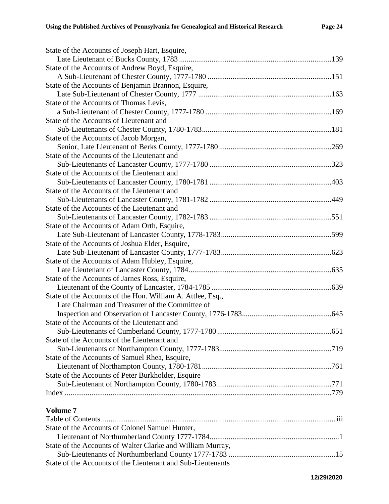| State of the Accounts of Joseph Hart, Esquire,             |  |
|------------------------------------------------------------|--|
|                                                            |  |
| State of the Accounts of Andrew Boyd, Esquire,             |  |
|                                                            |  |
| State of the Accounts of Benjamin Brannon, Esquire,        |  |
|                                                            |  |
| State of the Accounts of Thomas Levis,                     |  |
|                                                            |  |
| State of the Accounts of Lieutenant and                    |  |
|                                                            |  |
| State of the Accounts of Jacob Morgan,                     |  |
|                                                            |  |
| State of the Accounts of the Lieutenant and                |  |
|                                                            |  |
| State of the Accounts of the Lieutenant and                |  |
|                                                            |  |
| State of the Accounts of the Lieutenant and                |  |
|                                                            |  |
| State of the Accounts of the Lieutenant and                |  |
|                                                            |  |
| State of the Accounts of Adam Orth, Esquire,               |  |
|                                                            |  |
| State of the Accounts of Joshua Elder, Esquire,            |  |
|                                                            |  |
| State of the Accounts of Adam Hubley, Esquire,             |  |
|                                                            |  |
| State of the Accounts of Jarnes Ross, Esquire,             |  |
|                                                            |  |
| State of the Accounts of the Hon. William A. Attlee, Esq., |  |
| Late Chairman and Treasurer of the Committee of            |  |
|                                                            |  |
| State of the Accounts of the Lieutenant and                |  |
|                                                            |  |
| State of the Accounts of the Lieutenant and                |  |
|                                                            |  |
| State of the Accounts of Samuel Rhea, Esquire,             |  |
|                                                            |  |
| State of the Accounts of Peter Burkholder, Esquire         |  |
|                                                            |  |
|                                                            |  |
| Volume 7                                                   |  |
|                                                            |  |
| State of the Accounts of Colonel Samuel Hunter,            |  |
|                                                            |  |
| State of the Accounts of Walter Clarke and William Murray, |  |
|                                                            |  |
|                                                            |  |

State of the Accounts of the Lieutenant and Sub-Lieutenants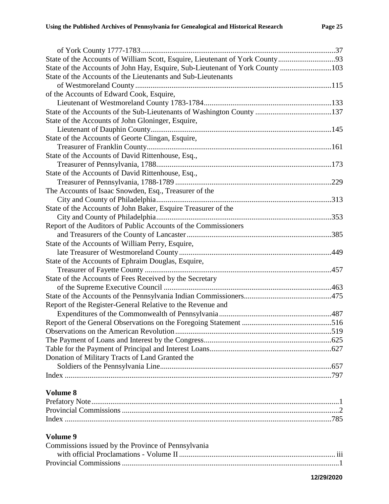| State of the Accounts of William Scott, Esquire, Lieutenant of York County93  |  |
|-------------------------------------------------------------------------------|--|
| State of the Accounts of John Hay, Esquire, Sub-Lieutenant of York County 103 |  |
| State of the Accounts of the Lieutenants and Sub-Lieutenants                  |  |
|                                                                               |  |
| of the Accounts of Edward Cook, Esquire,                                      |  |
|                                                                               |  |
|                                                                               |  |
| State of the Accounts of John Gloninger, Esquire,                             |  |
|                                                                               |  |
| State of the Accounts of Georte Clingan, Esquire,                             |  |
|                                                                               |  |
| State of the Accounts of David Rittenhouse, Esq.,                             |  |
|                                                                               |  |
| State of the Accounts of David Rittenhouse, Esq.,                             |  |
|                                                                               |  |
| The Accounts of Isaac Snowden, Esq., Treasurer of the                         |  |
|                                                                               |  |
| State of the Accounts of John Baker, Esquire Treasurer of the                 |  |
|                                                                               |  |
| Report of the Auditors of Public Accounts of the Commissioners                |  |
|                                                                               |  |
| State of the Accounts of William Perry, Esquire,                              |  |
|                                                                               |  |
| State of the Accounts of Ephraim Douglas, Esquire,                            |  |
|                                                                               |  |
| State of the Accounts of Fees Received by the Secretary                       |  |
|                                                                               |  |
|                                                                               |  |
| Report of the Register-General Relative to the Revenue and                    |  |
|                                                                               |  |
|                                                                               |  |
|                                                                               |  |
|                                                                               |  |
|                                                                               |  |
| Donation of Military Tracts of Land Granted the                               |  |
|                                                                               |  |
|                                                                               |  |
|                                                                               |  |

| Commissions issued by the Province of Pennsylvania |          |
|----------------------------------------------------|----------|
|                                                    | $\cdots$ |
|                                                    |          |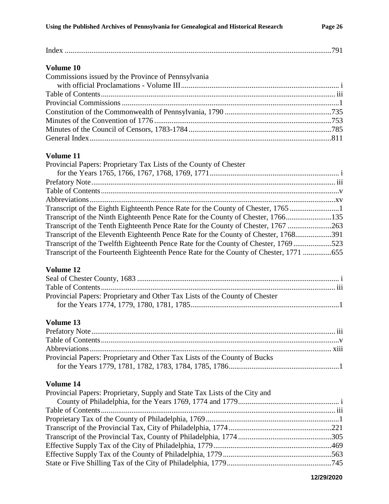| Volume 10                                                                              |  |
|----------------------------------------------------------------------------------------|--|
| Commissions issued by the Province of Pennsylvania                                     |  |
|                                                                                        |  |
|                                                                                        |  |
|                                                                                        |  |
|                                                                                        |  |
|                                                                                        |  |
|                                                                                        |  |
|                                                                                        |  |
|                                                                                        |  |
| Volume 11                                                                              |  |
| Provincial Papers: Proprietary Tax Lists of the County of Chester                      |  |
|                                                                                        |  |
|                                                                                        |  |
|                                                                                        |  |
|                                                                                        |  |
| Transcript of the Eighth Eighteenth Pence Rate for the County of Chester, 1765 1       |  |
| Transcript of the Ninth Eighteenth Pence Rate for the County of Chester, 1766135       |  |
| Transcript of the Tenth Eighteenth Pence Rate for the County of Chester, 1767 263      |  |
|                                                                                        |  |
| Transcript of the Eleventh Eighteenth Pence Rate for the County of Chester, 1768391    |  |
| Transcript of the Twelfth Eighteenth Pence Rate for the County of Chester, 1769 523    |  |
| Transcript of the Fourteenth Eighteenth Pence Rate for the County of Chester, 1771 655 |  |
| Volume 12                                                                              |  |
|                                                                                        |  |
|                                                                                        |  |
|                                                                                        |  |
| Provincial Papers: Proprietary and Other Tax Lists of the County of Chester            |  |
|                                                                                        |  |
| Volume 13                                                                              |  |
|                                                                                        |  |
|                                                                                        |  |
|                                                                                        |  |
| Provincial Papers: Proprietary and Other Tax Lists of the County of Bucks              |  |
|                                                                                        |  |
|                                                                                        |  |

| Provincial Papers: Proprietary, Supply and State Tax Lists of the City and |  |
|----------------------------------------------------------------------------|--|
|                                                                            |  |
|                                                                            |  |
|                                                                            |  |
|                                                                            |  |
|                                                                            |  |
|                                                                            |  |
|                                                                            |  |
|                                                                            |  |

**12/29/2020**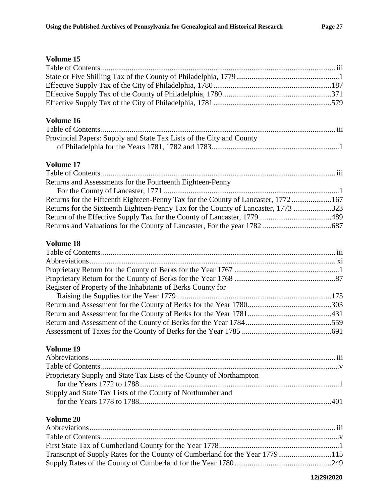| Volume 16                                                                          |            |
|------------------------------------------------------------------------------------|------------|
|                                                                                    |            |
| Provincial Papers: Supply and State Tax Lists of the City and County               |            |
|                                                                                    |            |
| <b>Volume 17</b>                                                                   |            |
| Returns and Assessments for the Fourteenth Eighteen-Penny                          |            |
|                                                                                    |            |
| Returns for the Fifteenth Eighteen-Penny Tax for the County of Lancaster, 1772167  |            |
| Returns for the Sixteenth Eighteen-Penny Tax for the County of Lancaster, 1773 323 |            |
|                                                                                    |            |
|                                                                                    |            |
| Volume 18                                                                          |            |
|                                                                                    |            |
|                                                                                    |            |
|                                                                                    |            |
|                                                                                    |            |
| Register of Property of the Inhabitants of Berks County for                        |            |
|                                                                                    |            |
|                                                                                    |            |
|                                                                                    |            |
|                                                                                    |            |
|                                                                                    |            |
| Volume 19                                                                          |            |
|                                                                                    |            |
| Proprietary Supply and State Tax Lists of the County of Northampton                |            |
|                                                                                    |            |
| Supply and State Tax Lists of the County of Northumberland                         |            |
|                                                                                    |            |
| <b>Volume 20</b>                                                                   |            |
|                                                                                    |            |
|                                                                                    |            |
| Transcript of Supply Rates for the County of Cumberland for the Year 1779115       |            |
|                                                                                    |            |
|                                                                                    | 12/29/2020 |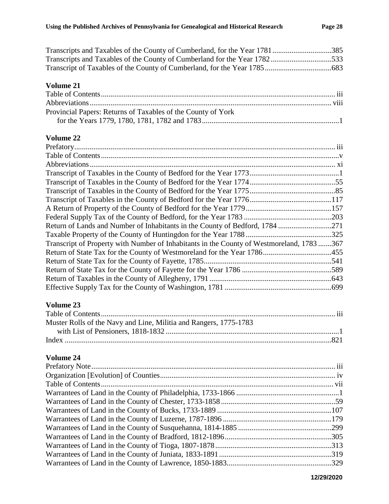| Transcripts and Taxables of the County of Cumberland, for the Year 1781385 |  |
|----------------------------------------------------------------------------|--|
| Transcripts and Taxables of the County of Cumberland for the Year 1782533  |  |
|                                                                            |  |

|                                                              | . |
|--------------------------------------------------------------|---|
| Provincial Papers: Returns of Taxables of the County of York |   |
|                                                              |   |

### **Volume 22**

| Return of Lands and Number of Inhabitants in the County of Bedford, 1784 271              |  |
|-------------------------------------------------------------------------------------------|--|
|                                                                                           |  |
| Transcript of Property with Number of Inhabitants in the County of Westmoreland, 1783 367 |  |
|                                                                                           |  |
|                                                                                           |  |
|                                                                                           |  |
|                                                                                           |  |
|                                                                                           |  |
| Volume 23                                                                                 |  |
|                                                                                           |  |

| Muster Rolls of the Navy and Line, Militia and Rangers, 1775-1783 |  |
|-------------------------------------------------------------------|--|
|                                                                   |  |
|                                                                   |  |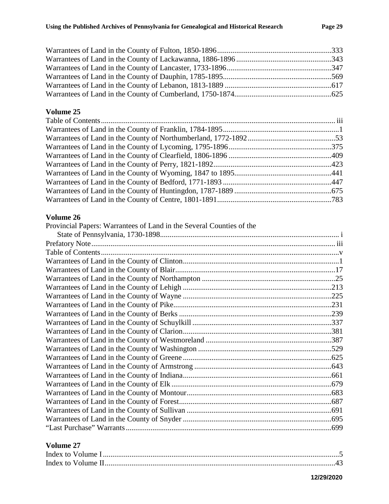#### **Volume 26**

| Provincial Papers: Warrantees of Land in the Several Counties of the |  |
|----------------------------------------------------------------------|--|
|                                                                      |  |
|                                                                      |  |
|                                                                      |  |
|                                                                      |  |
|                                                                      |  |
|                                                                      |  |
|                                                                      |  |
|                                                                      |  |
|                                                                      |  |
|                                                                      |  |
|                                                                      |  |
|                                                                      |  |
|                                                                      |  |
|                                                                      |  |
|                                                                      |  |
|                                                                      |  |
|                                                                      |  |
|                                                                      |  |
|                                                                      |  |
|                                                                      |  |
|                                                                      |  |
|                                                                      |  |
|                                                                      |  |
|                                                                      |  |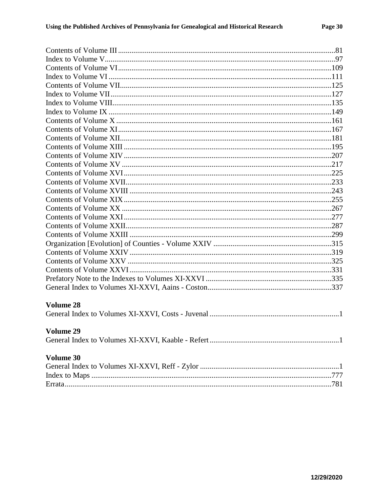| <b>Volume 28</b> |  |
|------------------|--|
|                  |  |
|                  |  |
| <b>Volume 29</b> |  |
|                  |  |
|                  |  |
| Volume 30        |  |
|                  |  |
|                  |  |
|                  |  |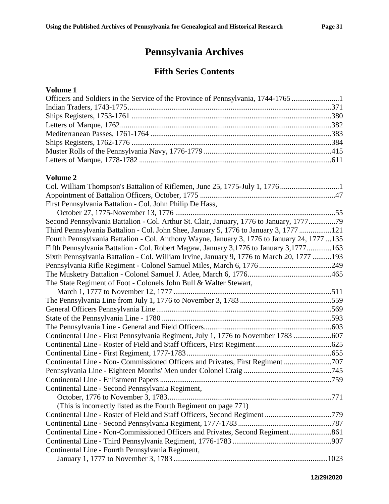# **Pennsylvania Archives**

### **Fifth Series Contents**

#### **Volume 1**

| Officers and Soldiers in the Service of the Province of Pennsylvania, 1744-1765 |  |
|---------------------------------------------------------------------------------|--|
|                                                                                 |  |
|                                                                                 |  |
|                                                                                 |  |
|                                                                                 |  |
|                                                                                 |  |
|                                                                                 |  |
|                                                                                 |  |
|                                                                                 |  |

| First Pennsylvania Battalion - Col. John Philip De Hass,                                    |  |
|---------------------------------------------------------------------------------------------|--|
|                                                                                             |  |
| Second Pennsylvania Battalion - Col. Arthur St. Clair, January, 1776 to January, 177779     |  |
| Third Pennsylvania Battalion - Col. John Shee, January 5, 1776 to January 3, 1777 121       |  |
| Fourth Pennsylvania Battalion - Col. Anthony Wayne, January 3, 1776 to January 24, 1777 135 |  |
| Fifth Pennsylvania Battalion - Col. Robert Magaw, January 3,1776 to January 3,1777163       |  |
| Sixth Pennsylvania Battalion - Col. William Irvine, January 9, 1776 to March 20, 1777 193   |  |
|                                                                                             |  |
|                                                                                             |  |
| The State Regiment of Foot - Colonels John Bull & Walter Stewart,                           |  |
|                                                                                             |  |
|                                                                                             |  |
|                                                                                             |  |
|                                                                                             |  |
|                                                                                             |  |
| Continental Line - First Pennsylvania Regiment, July 1, 1776 to November 1783 607           |  |
|                                                                                             |  |
|                                                                                             |  |
| Continental Line - Non- Commissioned Officers and Privates, First Regiment 707              |  |
|                                                                                             |  |
|                                                                                             |  |
| Continental Line - Second Pennsylvania Regiment,                                            |  |
|                                                                                             |  |
| (This is incorrectly listed as the Fourth Regiment on page 771)                             |  |
| Continental Line - Roster of Field and Staff Officers, Second Regiment 779                  |  |
|                                                                                             |  |
| Continental Line - Non-Commissioned Officers and Privates, Second Regiment 861              |  |
|                                                                                             |  |
| Continental Line - Fourth Pennsylvania Regiment,                                            |  |
|                                                                                             |  |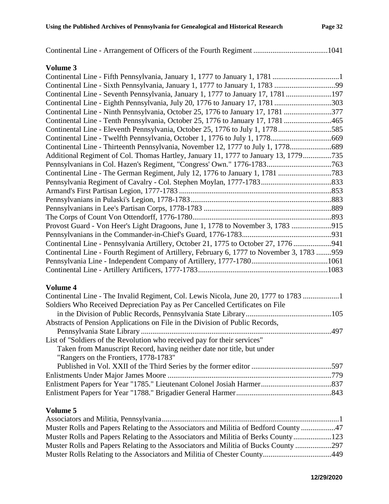| Continental Line - Seventh Pennsylvania, January 1, 1777 to January 17, 1781 197          |       |
|-------------------------------------------------------------------------------------------|-------|
| Continental Line - Eighth Pennsylvania, July 20, 1776 to January 17, 1781 303             |       |
| Continental Line - Ninth Pennsylvania, October 25, 1776 to January 17, 1781 377           |       |
| Continental Line - Tenth Pennsylvania, October 25, 1776 to January 17, 1781 465           |       |
| Continental Line - Eleventh Pennsylvania, October 25, 1776 to July 1, 1778585             |       |
|                                                                                           |       |
| Continental Line - Thirteenth Pennsylvania, November 12, 1777 to July 1, 1778             |       |
| Additional Regiment of Col. Thomas Hartley, January 11, 1777 to January 13, 1779735       |       |
|                                                                                           |       |
|                                                                                           |       |
|                                                                                           |       |
|                                                                                           |       |
|                                                                                           |       |
|                                                                                           |       |
|                                                                                           |       |
| Provost Guard - Von Heer's Light Dragoons, June 1, 1778 to November 3, 1783 915           |       |
|                                                                                           |       |
| Continental Line - Pennsylvania Artillery, October 21, 1775 to October 27, 1776           |       |
| Continental Line - Fourth Regiment of Artillery, February 6, 1777 to November 3, 1783 959 |       |
|                                                                                           |       |
|                                                                                           | .1083 |
|                                                                                           |       |

#### **Volume 4**

| Continental Line - The Invalid Regiment, Col. Lewis Nicola, June 20, 1777 to 1783 |
|-----------------------------------------------------------------------------------|
|                                                                                   |
|                                                                                   |
|                                                                                   |
|                                                                                   |
|                                                                                   |
|                                                                                   |
|                                                                                   |
|                                                                                   |
|                                                                                   |
|                                                                                   |
|                                                                                   |
|                                                                                   |

| Muster Rolls and Papers Relating to the Associators and Militia of Bedford County 47 |  |
|--------------------------------------------------------------------------------------|--|
| Muster Rolls and Papers Relating to the Associators and Militia of Berks County123   |  |
| Muster Rolls and Papers Relating to the Associators and Militia of Bucks County 297  |  |
|                                                                                      |  |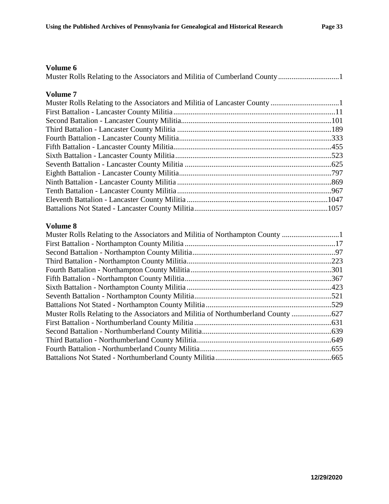| Volume 7 |  |
|----------|--|
|          |  |
|          |  |
|          |  |
|          |  |
|          |  |
|          |  |
|          |  |
|          |  |
|          |  |
|          |  |
|          |  |
|          |  |
|          |  |

| Muster Rolls Relating to the Associators and Militia of Northampton County    |  |
|-------------------------------------------------------------------------------|--|
|                                                                               |  |
|                                                                               |  |
|                                                                               |  |
|                                                                               |  |
|                                                                               |  |
|                                                                               |  |
|                                                                               |  |
|                                                                               |  |
| Muster Rolls Relating to the Associators and Militia of Northumberland County |  |
|                                                                               |  |
|                                                                               |  |
|                                                                               |  |
|                                                                               |  |
|                                                                               |  |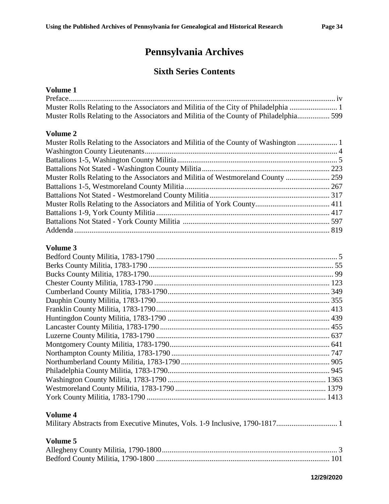# **Pennsylvania Archives**

### **Sixth Series Contents**

#### **Volume 1**

| Muster Rolls Relating to the Associators and Militia of the County of Philadelphia 599 |  |
|----------------------------------------------------------------------------------------|--|

#### **Volume 2**

#### **Volume 3**

| Volume 4 |  |
|----------|--|

#### Military Abstracts from Executive Minutes, Vols. 1-9 Inclusive, 1790-1817................................ 1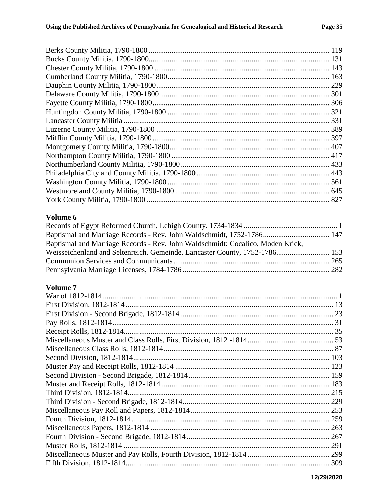| Baptismal and Marriage Records - Rev. John Waldschmidt, 1752-1786 147          |  |
|--------------------------------------------------------------------------------|--|
| Baptismal and Marriage Records - Rev. John Waldschmidt: Cocalico, Moden Krick, |  |
| Weisseichenland and Seltenreich. Gemeinde. Lancaster County, 1752-1786 153     |  |
|                                                                                |  |
|                                                                                |  |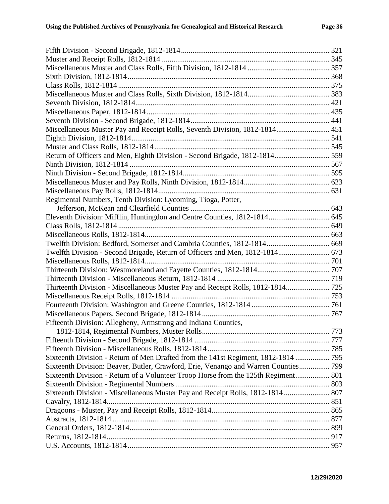| Miscellaneous Muster Pay and Receipt Rolls, Seventh Division, 1812-1814 451         |  |
|-------------------------------------------------------------------------------------|--|
|                                                                                     |  |
|                                                                                     |  |
| Return of Officers and Men, Eighth Division - Second Brigade, 1812-1814 559         |  |
|                                                                                     |  |
|                                                                                     |  |
|                                                                                     |  |
|                                                                                     |  |
| Regimental Numbers, Tenth Division: Lycoming, Tioga, Potter,                        |  |
|                                                                                     |  |
|                                                                                     |  |
|                                                                                     |  |
|                                                                                     |  |
| Twelfth Division: Bedford, Somerset and Cambria Counties, 1812-1814 669             |  |
| Twelfth Division - Second Brigade, Return of Officers and Men, 1812-1814 673        |  |
|                                                                                     |  |
|                                                                                     |  |
|                                                                                     |  |
| Thirteenth Division - Miscellaneous Muster Pay and Receipt Rolls, 1812-1814 725     |  |
|                                                                                     |  |
|                                                                                     |  |
|                                                                                     |  |
| Fifteenth Division: Allegheny, Armstrong and Indiana Counties,                      |  |
|                                                                                     |  |
|                                                                                     |  |
|                                                                                     |  |
| Sixteenth Division - Return of Men Drafted from the 141st Regiment, 1812-1814  795  |  |
| Sixteenth Division: Beaver, Butler, Crawford, Erie, Venango and Warren Counties 799 |  |
| Sixteenth Division - Return of a Volunteer Troop Horse from the 125th Regiment 801  |  |
|                                                                                     |  |
| Sixteenth Division - Miscellaneous Muster Pay and Receipt Rolls, 1812-1814  807     |  |
|                                                                                     |  |
|                                                                                     |  |
|                                                                                     |  |
|                                                                                     |  |
|                                                                                     |  |
|                                                                                     |  |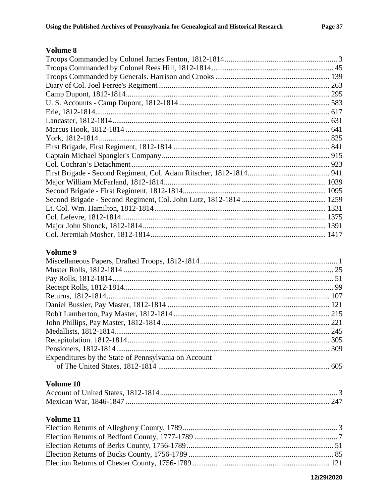#### Volume 9

| Expenditures by the State of Pennsylvania on Account |  |
|------------------------------------------------------|--|
|                                                      |  |

#### Volume 10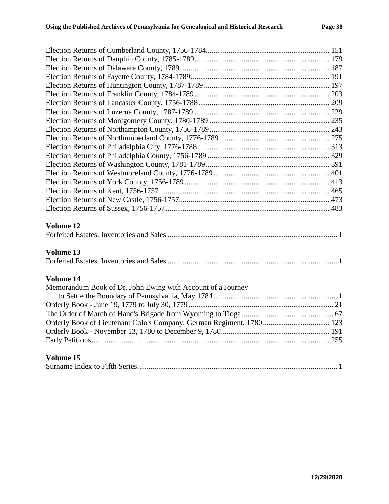| Volume 12                                                            |  |
|----------------------------------------------------------------------|--|
|                                                                      |  |
| Volume 13                                                            |  |
|                                                                      |  |
| Volume 14                                                            |  |
| Memorandum Book of Dr. John Ewing with Account of a Journey          |  |
|                                                                      |  |
|                                                                      |  |
|                                                                      |  |
| Orderly Book of Lieutenant Colo's Company, German Regiment, 1780 123 |  |
|                                                                      |  |
|                                                                      |  |
| Volume 15                                                            |  |
|                                                                      |  |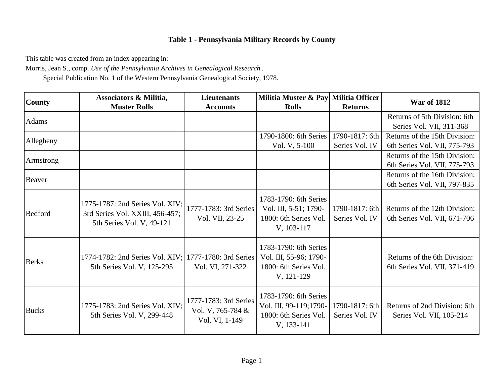This table was created from an index appearing in:

Morris, Jean S., comp. *Use of the Pennsylvania Archives in Genealogical Research* .

Special Publication No. 1 of the Western Pennsylvania Genealogical Society, 1978.

| <b>County</b> | Associators & Militia,                                                                          | <b>Lieutenants</b>                                           | Militia Muster & Pay Militia Officer                                                   | <b>Returns</b>                   | <b>War of 1812</b>                                            |
|---------------|-------------------------------------------------------------------------------------------------|--------------------------------------------------------------|----------------------------------------------------------------------------------------|----------------------------------|---------------------------------------------------------------|
| Adams         | <b>Muster Rolls</b>                                                                             | <b>Accounts</b>                                              | <b>Rolls</b>                                                                           |                                  | Returns of 5th Division: 6th<br>Series Vol. VII, 311-368      |
| Allegheny     |                                                                                                 |                                                              | 1790-1800: 6th Series<br>Vol. V, 5-100                                                 | 1790-1817: 6th<br>Series Vol. IV | Returns of the 15th Division:<br>6th Series Vol. VII, 775-793 |
| Armstrong     |                                                                                                 |                                                              |                                                                                        |                                  | Returns of the 15th Division:<br>6th Series Vol. VII, 775-793 |
| Beaver        |                                                                                                 |                                                              |                                                                                        |                                  | Returns of the 16th Division:<br>6th Series Vol. VII, 797-835 |
| Bedford       | 1775-1787: 2nd Series Vol. XIV;<br>3rd Series Vol. XXIII, 456-457;<br>5th Series Vol. V, 49-121 | 1777-1783: 3rd Series<br>Vol. VII, 23-25                     | 1783-1790: 6th Series<br>Vol. III, 5-51; 1790-<br>1800: 6th Series Vol.<br>V, 103-117  | 1790-1817: 6th<br>Series Vol. IV | Returns of the 12th Division:<br>6th Series Vol. VII, 671-706 |
| <b>Berks</b>  | 1774-1782: 2nd Series Vol. XIV;<br>5th Series Vol. V, 125-295                                   | 1777-1780: 3rd Series<br>Vol. VI, 271-322                    | 1783-1790: 6th Series<br>Vol. III, 55-96; 1790-<br>1800: 6th Series Vol.<br>V, 121-129 |                                  | Returns of the 6th Division:<br>6th Series Vol. VII, 371-419  |
| <b>Bucks</b>  | 1775-1783: 2nd Series Vol. XIV;<br>5th Series Vol. V, 299-448                                   | 1777-1783: 3rd Series<br>Vol. V, 765-784 &<br>Vol. VI, 1-149 | 1783-1790: 6th Series<br>Vol. III, 99-119;1790-<br>1800: 6th Series Vol.<br>V, 133-141 | 1790-1817: 6th<br>Series Vol. IV | Returns of 2nd Division: 6th<br>Series Vol. VII, 105-214      |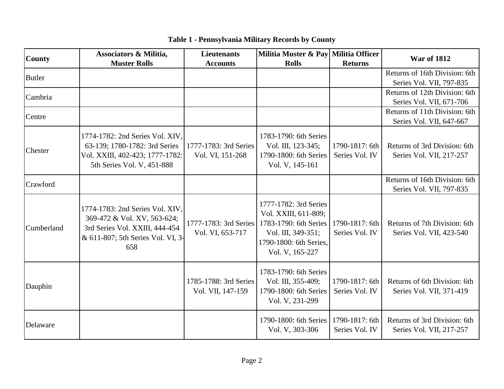| <b>County</b> | Associators & Militia,                                                                                                                       | <b>Lieutenants</b>                         | Militia Muster & Pay Militia Officer                                                                                                      |                                  | <b>War of 1812</b>                                        |
|---------------|----------------------------------------------------------------------------------------------------------------------------------------------|--------------------------------------------|-------------------------------------------------------------------------------------------------------------------------------------------|----------------------------------|-----------------------------------------------------------|
|               | <b>Muster Rolls</b>                                                                                                                          | <b>Accounts</b>                            | <b>Rolls</b>                                                                                                                              | <b>Returns</b>                   |                                                           |
| <b>Butler</b> |                                                                                                                                              |                                            |                                                                                                                                           |                                  | Returns of 16th Division: 6th                             |
|               |                                                                                                                                              |                                            |                                                                                                                                           |                                  | Series Vol. VII, 797-835                                  |
| Cambria       |                                                                                                                                              |                                            |                                                                                                                                           |                                  | Returns of 12th Division: 6th                             |
|               |                                                                                                                                              |                                            |                                                                                                                                           |                                  | Series Vol. VII, 671-706                                  |
| Centre        |                                                                                                                                              |                                            |                                                                                                                                           |                                  | Returns of 11th Division: 6th                             |
|               |                                                                                                                                              |                                            |                                                                                                                                           |                                  | Series Vol. VII, 647-667                                  |
| Chester       | 1774-1782: 2nd Series Vol. XIV,<br>63-139; 1780-1782: 3rd Series<br>Vol. XXIII, 402-423; 1777-1782:<br>5th Series Vol. V, 451-888            | 1777-1783: 3rd Series<br>Vol. VI, 151-268  | 1783-1790: 6th Series<br>Vol. III, 123-345;<br>1790-1800: 6th Series<br>Vol. V, 145-161                                                   | 1790-1817: 6th<br>Series Vol. IV | Returns of 3rd Division: 6th<br>Series Vol. VII, 217-257  |
| Crawford      |                                                                                                                                              |                                            |                                                                                                                                           |                                  | Returns of 16th Division: 6th<br>Series Vol. VII, 797-835 |
| Cumberland    | 1774-1783: 2nd Series Vol. XIV,<br>369-472 & Vol. XV, 563-624;<br>3rd Series Vol. XXIII, 444-454<br>& 611-807; 5th Series Vol. VI, 3-<br>658 | 1777-1783: 3rd Series<br>Vol. VI, 653-717  | 1777-1782: 3rd Series<br>Vol. XXIII, 611-809;<br>1783-1790: 6th Series<br>Vol. III, 349-351;<br>1790-1800: 6th Series,<br>Vol. V, 165-227 | 1790-1817: 6th<br>Series Vol. IV | Returns of 7th Division: 6th<br>Series Vol. VII, 423-540  |
| Dauphin       |                                                                                                                                              | 1785-1788: 3rd Series<br>Vol. VII, 147-159 | 1783-1790: 6th Series<br>Vol. III, 355-409;<br>1790-1800: 6th Series<br>Vol. V, 231-299                                                   | 1790-1817: 6th<br>Series Vol. IV | Returns of 6th Division: 6th<br>Series Vol. VII, 371-419  |
| Delaware      |                                                                                                                                              |                                            | 1790-1800: 6th Series<br>Vol. V, 303-306                                                                                                  | 1790-1817: 6th<br>Series Vol. IV | Returns of 3rd Division: 6th<br>Series Vol. VII, 217-257  |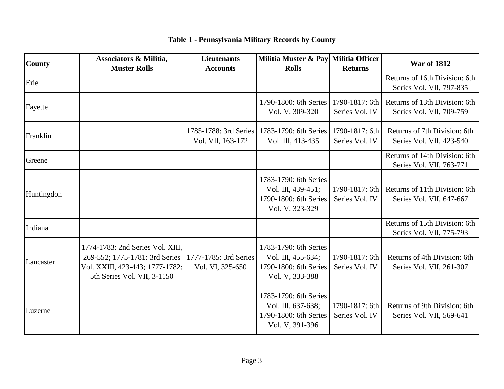| County     | <b>Associators &amp; Militia,</b><br><b>Muster Rolls</b>                                                                             | <b>Lieutenants</b><br><b>Accounts</b>      | Militia Muster & Pay Militia Officer<br><b>Rolls</b>                                    | <b>Returns</b>                   | <b>War of 1812</b>                                        |
|------------|--------------------------------------------------------------------------------------------------------------------------------------|--------------------------------------------|-----------------------------------------------------------------------------------------|----------------------------------|-----------------------------------------------------------|
| Erie       |                                                                                                                                      |                                            |                                                                                         |                                  | Returns of 16th Division: 6th<br>Series Vol. VII, 797-835 |
| Fayette    |                                                                                                                                      |                                            | 1790-1800: 6th Series<br>Vol. V, 309-320                                                | 1790-1817: 6th<br>Series Vol. IV | Returns of 13th Division: 6th<br>Series Vol. VII, 709-759 |
| Franklin   |                                                                                                                                      | 1785-1788: 3rd Series<br>Vol. VII, 163-172 | 1783-1790: 6th Series<br>Vol. III, 413-435                                              | 1790-1817: 6th<br>Series Vol. IV | Returns of 7th Division: 6th<br>Series Vol. VII, 423-540  |
| Greene     |                                                                                                                                      |                                            |                                                                                         |                                  | Returns of 14th Division: 6th<br>Series Vol. VII, 763-771 |
| Huntingdon |                                                                                                                                      |                                            | 1783-1790: 6th Series<br>Vol. III, 439-451;<br>1790-1800: 6th Series<br>Vol. V, 323-329 | 1790-1817: 6th<br>Series Vol. IV | Returns of 11th Division: 6th<br>Series Vol. VII, 647-667 |
| Indiana    |                                                                                                                                      |                                            |                                                                                         |                                  | Returns of 15th Division: 6th<br>Series Vol. VII, 775-793 |
| Lancaster  | 1774-1783: 2nd Series Vol. XIII,<br>269-552; 1775-1781: 3rd Series<br>Vol. XXIII, 423-443; 1777-1782:<br>5th Series Vol. VII, 3-1150 | 1777-1785: 3rd Series<br>Vol. VI, 325-650  | 1783-1790: 6th Series<br>Vol. III, 455-634;<br>1790-1800: 6th Series<br>Vol. V, 333-388 | 1790-1817: 6th<br>Series Vol. IV | Returns of 4th Division: 6th<br>Series Vol. VII, 261-307  |
| Luzerne    |                                                                                                                                      |                                            | 1783-1790: 6th Series<br>Vol. III, 637-638;<br>1790-1800: 6th Series<br>Vol. V, 391-396 | 1790-1817: 6th<br>Series Vol. IV | Returns of 9th Division: 6th<br>Series Vol. VII, 569-641  |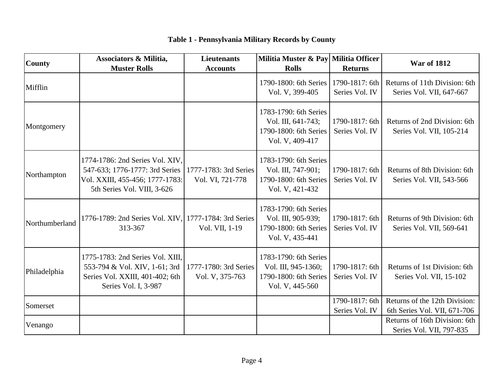| <b>County</b>  | <b>Associators &amp; Militia,</b><br><b>Muster Rolls</b>                                                                            | <b>Lieutenants</b><br><b>Accounts</b>     | Militia Muster & Pay Militia Officer<br><b>Rolls</b>                                     | <b>Returns</b>                   | <b>War of 1812</b>                                            |
|----------------|-------------------------------------------------------------------------------------------------------------------------------------|-------------------------------------------|------------------------------------------------------------------------------------------|----------------------------------|---------------------------------------------------------------|
| Mifflin        |                                                                                                                                     |                                           | 1790-1800: 6th Series<br>Vol. V, 399-405                                                 | 1790-1817: 6th<br>Series Vol. IV | Returns of 11th Division: 6th<br>Series Vol. VII, 647-667     |
| Montgomery     |                                                                                                                                     |                                           | 1783-1790: 6th Series<br>Vol. III, 641-743;<br>1790-1800: 6th Series<br>Vol. V, 409-417  | 1790-1817: 6th<br>Series Vol. IV | Returns of 2nd Division: 6th<br>Series Vol. VII, 105-214      |
| Northampton    | 1774-1786: 2nd Series Vol. XIV,<br>547-633; 1776-1777: 3rd Series<br>Vol. XXIII, 455-456; 1777-1783:<br>5th Series Vol. VIII, 3-626 | 1777-1783: 3rd Series<br>Vol. VI, 721-778 | 1783-1790: 6th Series<br>Vol. III, 747-901;<br>1790-1800: 6th Series<br>Vol. V, 421-432  | 1790-1817: 6th<br>Series Vol. IV | Returns of 8th Division: 6th<br>Series Vol. VII, 543-566      |
| Northumberland | 1776-1789: 2nd Series Vol. XIV, 1777-1784: 3rd Series<br>313-367                                                                    | Vol. VII, 1-19                            | 1783-1790: 6th Series<br>Vol. III, 905-939;<br>1790-1800: 6th Series<br>Vol. V, 435-441  | 1790-1817: 6th<br>Series Vol. IV | Returns of 9th Division: 6th<br>Series Vol. VII, 569-641      |
| Philadelphia   | 1775-1783: 2nd Series Vol. XIII,<br>553-794 & Vol. XIV, 1-61; 3rd<br>Series Vol. XXIII, 401-402; 6th<br>Series Vol. I, 3-987        | 1777-1780: 3rd Series<br>Vol. V, 375-763  | 1783-1790: 6th Series<br>Vol. III, 945-1360;<br>1790-1800: 6th Series<br>Vol. V, 445-560 | 1790-1817: 6th<br>Series Vol. IV | Returns of 1st Division: 6th<br>Series Vol. VII, 15-102       |
| Somerset       |                                                                                                                                     |                                           |                                                                                          | 1790-1817: 6th<br>Series Vol. IV | Returns of the 12th Division:<br>6th Series Vol. VII, 671-706 |
| Venango        |                                                                                                                                     |                                           |                                                                                          |                                  | Returns of 16th Division: 6th<br>Series Vol. VII, 797-835     |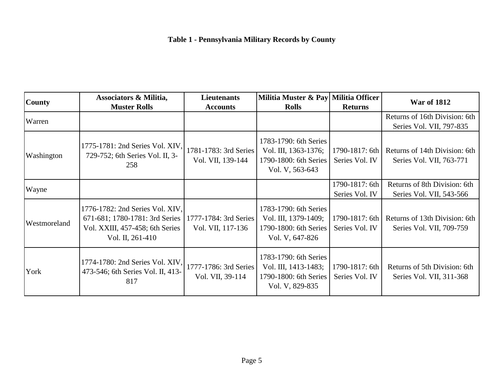| <b>County</b> | Associators & Militia,<br><b>Muster Rolls</b>                                                                            | <b>Lieutenants</b><br><b>Accounts</b>      | Militia Muster & Pay Militia Officer<br><b>Rolls</b>                                      | <b>Returns</b>                   | <b>War of 1812</b>                                        |
|---------------|--------------------------------------------------------------------------------------------------------------------------|--------------------------------------------|-------------------------------------------------------------------------------------------|----------------------------------|-----------------------------------------------------------|
| Warren        |                                                                                                                          |                                            |                                                                                           |                                  | Returns of 16th Division: 6th<br>Series Vol. VII, 797-835 |
| Washington    | 1775-1781: 2nd Series Vol. XIV,<br>729-752; 6th Series Vol. II, 3-<br>258                                                | 1781-1783: 3rd Series<br>Vol. VII, 139-144 | 1783-1790: 6th Series<br>Vol. III, 1363-1376;<br>1790-1800: 6th Series<br>Vol. V, 563-643 | 1790-1817: 6th<br>Series Vol. IV | Returns of 14th Division: 6th<br>Series Vol. VII, 763-771 |
| Wayne         |                                                                                                                          |                                            |                                                                                           | 1790-1817: 6th<br>Series Vol. IV | Returns of 8th Division: 6th<br>Series Vol. VII, 543-566  |
| Westmoreland  | 1776-1782: 2nd Series Vol. XIV,<br>671-681; 1780-1781: 3rd Series<br>Vol. XXIII, 457-458; 6th Series<br>Vol. II, 261-410 | 1777-1784: 3rd Series<br>Vol. VII, 117-136 | 1783-1790: 6th Series<br>Vol. III, 1379-1409;<br>1790-1800: 6th Series<br>Vol. V, 647-826 | 1790-1817: 6th<br>Series Vol. IV | Returns of 13th Division: 6th<br>Series Vol. VII, 709-759 |
| York          | 1774-1780: 2nd Series Vol. XIV,<br>473-546; 6th Series Vol. II, 413-<br>817                                              | 1777-1786: 3rd Series<br>Vol. VII, 39-114  | 1783-1790: 6th Series<br>Vol. III, 1413-1483;<br>1790-1800: 6th Series<br>Vol. V, 829-835 | 1790-1817: 6th<br>Series Vol. IV | Returns of 5th Division: 6th<br>Series Vol. VII, 311-368  |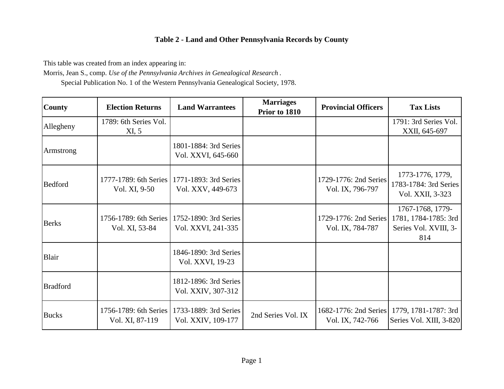This table was created from an index appearing in:

Morris, Jean S., comp. *Use of the Pennsylvania Archives in Genealogical Research* .

Special Publication No. 1 of the Western Pennsylvania Genealogical Society, 1978.

| <b>County</b>   | <b>Election Returns</b>                  | <b>Land Warrantees</b>                      | <b>Marriages</b><br>Prior to 1810 | <b>Provincial Officers</b>                | <b>Tax Lists</b>                                                         |
|-----------------|------------------------------------------|---------------------------------------------|-----------------------------------|-------------------------------------------|--------------------------------------------------------------------------|
| Allegheny       | 1789: 6th Series Vol.<br>XI, 5           |                                             |                                   |                                           | 1791: 3rd Series Vol.<br>XXII, 645-697                                   |
| Armstrong       |                                          | 1801-1884: 3rd Series<br>Vol. XXVI, 645-660 |                                   |                                           |                                                                          |
| <b>Bedford</b>  | 1777-1789: 6th Series<br>Vol. XI, 9-50   | 1771-1893: 3rd Series<br>Vol. XXV, 449-673  |                                   | 1729-1776: 2nd Series<br>Vol. IX, 796-797 | 1773-1776, 1779,<br>1783-1784: 3rd Series<br>Vol. XXII, 3-323            |
| <b>Berks</b>    | 1756-1789: 6th Series<br>Vol. XI, 53-84  | 1752-1890: 3rd Series<br>Vol. XXVI, 241-335 |                                   | 1729-1776: 2nd Series<br>Vol. IX, 784-787 | 1767-1768, 1779-<br>1781, 1784-1785: 3rd<br>Series Vol. XVIII, 3-<br>814 |
| Blair           |                                          | 1846-1890: 3rd Series<br>Vol. XXVI, 19-23   |                                   |                                           |                                                                          |
| <b>Bradford</b> |                                          | 1812-1896: 3rd Series<br>Vol. XXIV, 307-312 |                                   |                                           |                                                                          |
| <b>Bucks</b>    | 1756-1789: 6th Series<br>Vol. XI, 87-119 | 1733-1889: 3rd Series<br>Vol. XXIV, 109-177 | 2nd Series Vol. IX                | 1682-1776: 2nd Series<br>Vol. IX, 742-766 | 1779, 1781-1787: 3rd<br>Series Vol. XIII, 3-820                          |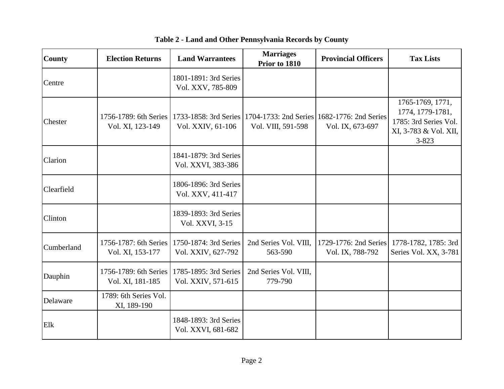| <b>County</b> | <b>Election Returns</b>                   | <b>Land Warrantees</b>                      | <b>Marriages</b><br>Prior to 1810 | <b>Provincial Officers</b>                                      | <b>Tax Lists</b>                                                                                    |
|---------------|-------------------------------------------|---------------------------------------------|-----------------------------------|-----------------------------------------------------------------|-----------------------------------------------------------------------------------------------------|
| Centre        |                                           | 1801-1891: 3rd Series<br>Vol. XXV, 785-809  |                                   |                                                                 |                                                                                                     |
| Chester       | 1756-1789: 6th Series<br>Vol. XI, 123-149 | 1733-1858: 3rd Series<br>Vol. XXIV, 61-106  | Vol. VIII, 591-598                | 1704-1733: 2nd Series 1682-1776: 2nd Series<br>Vol. IX, 673-697 | 1765-1769, 1771,<br>1774, 1779-1781,<br>1785: 3rd Series Vol.<br>XI, 3-783 & Vol. XII,<br>$3 - 823$ |
| Clarion       |                                           | 1841-1879: 3rd Series<br>Vol. XXVI, 383-386 |                                   |                                                                 |                                                                                                     |
| Clearfield    |                                           | 1806-1896: 3rd Series<br>Vol. XXV, 411-417  |                                   |                                                                 |                                                                                                     |
| Clinton       |                                           | 1839-1893: 3rd Series<br>Vol. XXVI, 3-15    |                                   |                                                                 |                                                                                                     |
| Cumberland    | 1756-1787: 6th Series<br>Vol. XI, 153-177 | 1750-1874: 3rd Series<br>Vol. XXIV, 627-792 | 2nd Series Vol. VIII,<br>563-590  | 1729-1776: 2nd Series<br>Vol. IX, 788-792                       | 1778-1782, 1785: 3rd<br>Series Vol. XX, 3-781                                                       |
| Dauphin       | 1756-1789: 6th Series<br>Vol. XI, 181-185 | 1785-1895: 3rd Series<br>Vol. XXIV, 571-615 | 2nd Series Vol. VIII,<br>779-790  |                                                                 |                                                                                                     |
| Delaware      | 1789: 6th Series Vol.<br>XI, 189-190      |                                             |                                   |                                                                 |                                                                                                     |
| Elk           |                                           | 1848-1893: 3rd Series<br>Vol. XXVI, 681-682 |                                   |                                                                 |                                                                                                     |

**Table 2 - Land and Other Pennsylvania Records by County**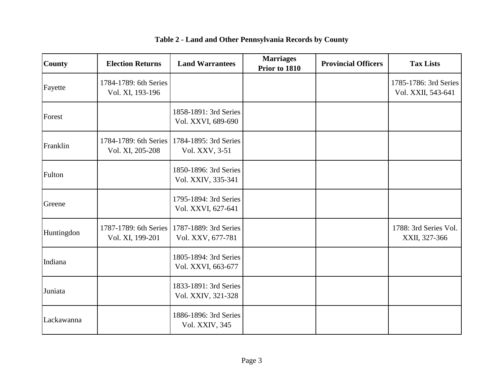| <b>County</b> | <b>Election Returns</b>                   | <b>Land Warrantees</b>                      | <b>Marriages</b><br>Prior to 1810 | <b>Provincial Officers</b> | <b>Tax Lists</b>                            |
|---------------|-------------------------------------------|---------------------------------------------|-----------------------------------|----------------------------|---------------------------------------------|
| Fayette       | 1784-1789: 6th Series<br>Vol. XI, 193-196 |                                             |                                   |                            | 1785-1786: 3rd Series<br>Vol. XXII, 543-641 |
| Forest        |                                           | 1858-1891: 3rd Series<br>Vol. XXVI, 689-690 |                                   |                            |                                             |
| Franklin      | 1784-1789: 6th Series<br>Vol. XI, 205-208 | 1784-1895: 3rd Series<br>Vol. XXV, 3-51     |                                   |                            |                                             |
| Fulton        |                                           | 1850-1896: 3rd Series<br>Vol. XXIV, 335-341 |                                   |                            |                                             |
| Greene        |                                           | 1795-1894: 3rd Series<br>Vol. XXVI, 627-641 |                                   |                            |                                             |
| Huntingdon    | 1787-1789: 6th Series<br>Vol. XI, 199-201 | 1787-1889: 3rd Series<br>Vol. XXV, 677-781  |                                   |                            | 1788: 3rd Series Vol.<br>XXII, 327-366      |
| Indiana       |                                           | 1805-1894: 3rd Series<br>Vol. XXVI, 663-677 |                                   |                            |                                             |
| Juniata       |                                           | 1833-1891: 3rd Series<br>Vol. XXIV, 321-328 |                                   |                            |                                             |
| Lackawanna    |                                           | 1886-1896: 3rd Series<br>Vol. XXIV, 345     |                                   |                            |                                             |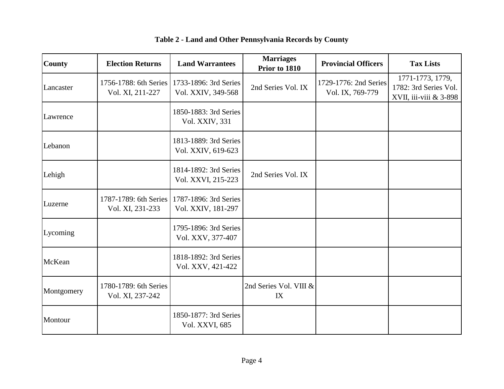| <b>County</b> | <b>Election Returns</b>                   | <b>Land Warrantees</b>                      | <b>Marriages</b><br>Prior to 1810 | <b>Provincial Officers</b>                | <b>Tax Lists</b>                                                    |
|---------------|-------------------------------------------|---------------------------------------------|-----------------------------------|-------------------------------------------|---------------------------------------------------------------------|
| Lancaster     | 1756-1788: 6th Series<br>Vol. XI, 211-227 | 1733-1896: 3rd Series<br>Vol. XXIV, 349-568 | 2nd Series Vol. IX                | 1729-1776: 2nd Series<br>Vol. IX, 769-779 | 1771-1773, 1779,<br>1782: 3rd Series Vol.<br>XVII, iii-viii & 3-898 |
| Lawrence      |                                           | 1850-1883: 3rd Series<br>Vol. XXIV, 331     |                                   |                                           |                                                                     |
| Lebanon       |                                           | 1813-1889: 3rd Series<br>Vol. XXIV, 619-623 |                                   |                                           |                                                                     |
| Lehigh        |                                           | 1814-1892: 3rd Series<br>Vol. XXVI, 215-223 | 2nd Series Vol. IX                |                                           |                                                                     |
| Luzerne       | 1787-1789: 6th Series<br>Vol. XI, 231-233 | 1787-1896: 3rd Series<br>Vol. XXIV, 181-297 |                                   |                                           |                                                                     |
| Lycoming      |                                           | 1795-1896: 3rd Series<br>Vol. XXV, 377-407  |                                   |                                           |                                                                     |
| McKean        |                                           | 1818-1892: 3rd Series<br>Vol. XXV, 421-422  |                                   |                                           |                                                                     |
| Montgomery    | 1780-1789: 6th Series<br>Vol. XI, 237-242 |                                             | 2nd Series Vol. VIII &<br>IX      |                                           |                                                                     |
| Montour       |                                           | 1850-1877: 3rd Series<br>Vol. XXVI, 685     |                                   |                                           |                                                                     |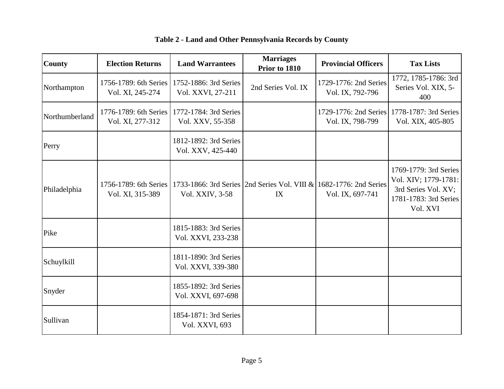| <b>County</b>  | <b>Election Returns</b>                   | <b>Land Warrantees</b>                      | <b>Marriages</b><br>Prior to 1810                                        | <b>Provincial Officers</b>                | <b>Tax Lists</b>                                                                                          |
|----------------|-------------------------------------------|---------------------------------------------|--------------------------------------------------------------------------|-------------------------------------------|-----------------------------------------------------------------------------------------------------------|
| Northampton    | 1756-1789: 6th Series<br>Vol. XI, 245-274 | 1752-1886: 3rd Series<br>Vol. XXVI, 27-211  | 2nd Series Vol. IX                                                       | 1729-1776: 2nd Series<br>Vol. IX, 792-796 | 1772, 1785-1786: 3rd<br>Series Vol. XIX, 5-<br>400                                                        |
| Northumberland | 1776-1789: 6th Series<br>Vol. XI, 277-312 | 1772-1784: 3rd Series<br>Vol. XXV, 55-358   |                                                                          | 1729-1776: 2nd Series<br>Vol. IX, 798-799 | 1778-1787: 3rd Series<br>Vol. XIX, 405-805                                                                |
| Perry          |                                           | 1812-1892: 3rd Series<br>Vol. XXV, 425-440  |                                                                          |                                           |                                                                                                           |
| Philadelphia   | 1756-1789: 6th Series<br>Vol. XI, 315-389 | Vol. XXIV, 3-58                             | 1733-1866: 3rd Series 2nd Series Vol. VIII & 1682-1776: 2nd Series<br>IX | Vol. IX, 697-741                          | 1769-1779: 3rd Series<br>Vol. XIV; 1779-1781:<br>3rd Series Vol. XV;<br>1781-1783: 3rd Series<br>Vol. XVI |
| Pike           |                                           | 1815-1883: 3rd Series<br>Vol. XXVI, 233-238 |                                                                          |                                           |                                                                                                           |
| Schuylkill     |                                           | 1811-1890: 3rd Series<br>Vol. XXVI, 339-380 |                                                                          |                                           |                                                                                                           |
| Snyder         |                                           | 1855-1892: 3rd Series<br>Vol. XXVI, 697-698 |                                                                          |                                           |                                                                                                           |
| Sullivan       |                                           | 1854-1871: 3rd Series<br>Vol. XXVI, 693     |                                                                          |                                           |                                                                                                           |